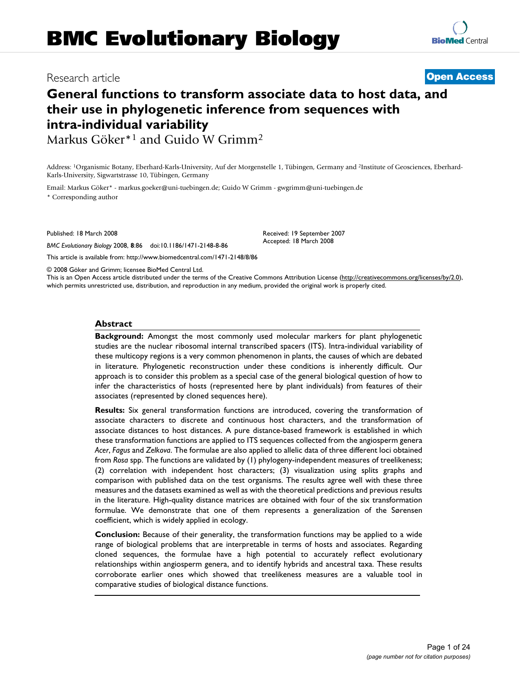# **BMC Evolutionary Biology**

# Research article **[Open Access](http://www.biomedcentral.com/info/about/charter/)**

# **General functions to transform associate data to host data, and their use in phylogenetic inference from sequences with intra-individual variability**

Markus Göker\*1 and Guido W Grimm2

Address: 1Organismic Botany, Eberhard-Karls-University, Auf der Morgenstelle 1, Tübingen, Germany and 2Institute of Geosciences, Eberhard-Karls-University, Sigwartstrasse 10, Tübingen, Germany

Email: Markus Göker\* - markus.goeker@uni-tuebingen.de; Guido W Grimm - gwgrimm@uni-tuebingen.de

\* Corresponding author

Published: 18 March 2008

*BMC Evolutionary Biology* 2008, **8**:86 doi:10.1186/1471-2148-8-86

[This article is available from: http://www.biomedcentral.com/1471-2148/8/86](http://www.biomedcentral.com/1471-2148/8/86)

© 2008 Göker and Grimm; licensee BioMed Central Ltd.

This is an Open Access article distributed under the terms of the Creative Commons Attribution License [\(http://creativecommons.org/licenses/by/2.0\)](http://creativecommons.org/licenses/by/2.0), which permits unrestricted use, distribution, and reproduction in any medium, provided the original work is properly cited.

#### **Abstract**

**Background:** Amongst the most commonly used molecular markers for plant phylogenetic studies are the nuclear ribosomal internal transcribed spacers (ITS). Intra-individual variability of these multicopy regions is a very common phenomenon in plants, the causes of which are debated in literature. Phylogenetic reconstruction under these conditions is inherently difficult. Our approach is to consider this problem as a special case of the general biological question of how to infer the characteristics of hosts (represented here by plant individuals) from features of their associates (represented by cloned sequences here).

**Results:** Six general transformation functions are introduced, covering the transformation of associate characters to discrete and continuous host characters, and the transformation of associate distances to host distances. A pure distance-based framework is established in which these transformation functions are applied to ITS sequences collected from the angiosperm genera *Acer*, *Fagus* and *Zelkova*. The formulae are also applied to allelic data of three different loci obtained from *Rosa* spp. The functions are validated by (1) phylogeny-independent measures of treelikeness; (2) correlation with independent host characters; (3) visualization using splits graphs and comparison with published data on the test organisms. The results agree well with these three measures and the datasets examined as well as with the theoretical predictions and previous results in the literature. High-quality distance matrices are obtained with four of the six transformation formulae. We demonstrate that one of them represents a generalization of the Sørensen coefficient, which is widely applied in ecology.

**Conclusion:** Because of their generality, the transformation functions may be applied to a wide range of biological problems that are interpretable in terms of hosts and associates. Regarding cloned sequences, the formulae have a high potential to accurately reflect evolutionary relationships within angiosperm genera, and to identify hybrids and ancestral taxa. These results corroborate earlier ones which showed that treelikeness measures are a valuable tool in comparative studies of biological distance functions.

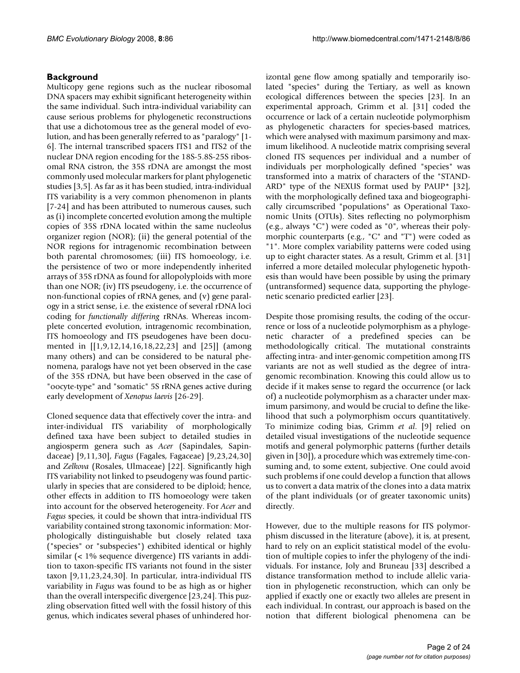# **Background**

Multicopy gene regions such as the nuclear ribosomal DNA spacers may exhibit significant heterogeneity within the same individual. Such intra-individual variability can cause serious problems for phylogenetic reconstructions that use a dichotomous tree as the general model of evolution, and has been generally referred to as "paralogy" [1- 6]. The internal transcribed spacers ITS1 and ITS2 of the nuclear DNA region encoding for the 18S-5.8S-25S ribosomal RNA cistron, the 35S rDNA are amongst the most commonly used molecular markers for plant phylogenetic studies [3,5]. As far as it has been studied, intra-individual ITS variability is a very common phenomenon in plants [[7-](#page-21-0)24] and has been attributed to numerous causes, such as (i) incomplete concerted evolution among the multiple copies of 35S rDNA located within the same nucleolus organizer region (NOR); (ii) the general potential of the NOR regions for intragenomic recombination between both parental chromosomes; (iii) ITS homoeology, i.e. the persistence of two or more independently inherited arrays of 35S rDNA as found for allopolyploids with more than one NOR; (iv) ITS pseudogeny, i.e. the occurrence of non-functional copies of rRNA genes, and (v) gene paralogy in a strict sense, i.e. the existence of several rDNA loci coding for *functionally differing* rRNAs. Whereas incomplete concerted evolution, intragenomic recombination, ITS homoeology and ITS pseudogenes have been documented in [[1,9,12[,14](#page-21-1),16,18,22,23] and [25]] (among many others) and can be considered to be natural phenomena, paralogs have not yet been observed in the case of the 35S rDNA, but have been observed in the case of "oocyte-type" and "somatic" 5S rRNA genes active during early development of *Xenopus laevis* [26-29].

Cloned sequence data that effectively cover the intra- and inter-individual ITS variability of morphologically defined taxa have been subject to detailed studies in angiosperm genera such as *Acer* (Sapindales, Sapindaceae) [9,11,30], *Fagus* (Fagales, Fagaceae) [9,23,24,30] and *Zelkova* (Rosales, Ulmaceae) [22]. Significantly high ITS variability not linked to pseudogeny was found particularly in species that are considered to be diploid; hence, other effects in addition to ITS homoeology were taken into account for the observed heterogeneity. For *Acer* and *Fagus* species, it could be shown that intra-individual ITS variability contained strong taxonomic information: Morphologically distinguishable but closely related taxa ("species" or "subspecies") exhibited identical or highly similar (< 1% sequence divergence) ITS variants in addition to taxon-specific ITS variants not found in the sister taxon [9,11,23,24,30]. In particular, intra-individual ITS variability in *Fagus* was found to be as high as or higher than the overall interspecific divergence [23,24]. This puzzling observation fitted well with the fossil history of this genus, which indicates several phases of unhindered horizontal gene flow among spatially and temporarily isolated "species" during the Tertiary, as well as known ecological differences between the species [23]. In an experimental approach, Grimm et al. [31] coded the occurrence or lack of a certain nucleotide polymorphism as phylogenetic characters for species-based matrices, which were analysed with maximum parsimony and maximum likelihood. A nucleotide matrix comprising several cloned ITS sequences per individual and a number of individuals per morphologically defined "species" was transformed into a matrix of characters of the "STAND-ARD" type of the NEXUS format used by PAUP\* [32], with the morphologically defined taxa and biogeographically circumscribed "populations" as Operational Taxonomic Units (OTUs). Sites reflecting no polymorphism (e.g., always "C") were coded as "0", whereas their polymorphic counterparts (e.g., "C" and "T") were coded as "1". More complex variability patterns were coded using up to eight character states. As a result, Grimm et al. [31] inferred a more detailed molecular phylogenetic hypothesis than would have been possible by using the primary (untransformed) sequence data, supporting the phylogenetic scenario predicted earlier [23].

Despite those promising results, the coding of the occurrence or loss of a nucleotide polymorphism as a phylogenetic character of a predefined species can be methodologically critical. The mutational constraints affecting intra- and inter-genomic competition among ITS variants are not as well studied as the degree of intragenomic recombination. Knowing this could allow us to decide if it makes sense to regard the occurrence (or lack of) a nucleotide polymorphism as a character under maximum parsimony, and would be crucial to define the likelihood that such a polymorphism occurs quantitatively. To minimize coding bias, Grimm *et al*. [9] relied on detailed visual investigations of the nucleotide sequence motifs and general polymorphic patterns (further details given in [30]), a procedure which was extremely time-consuming and, to some extent, subjective. One could avoid such problems if one could develop a function that allows us to convert a data matrix of the clones into a data matrix of the plant individuals (or of greater taxonomic units) directly.

However, due to the multiple reasons for ITS polymorphism discussed in the literature (above), it is, at present, hard to rely on an explicit statistical model of the evolution of multiple copies to infer the phylogeny of the individuals. For instance, Joly and Bruneau [\[33](#page-22-0)] described a distance transformation method to include allelic variation in phylogenetic reconstruction, which can only be applied if exactly one or exactly two alleles are present in each individual. In contrast, our approach is based on the notion that different biological phenomena can be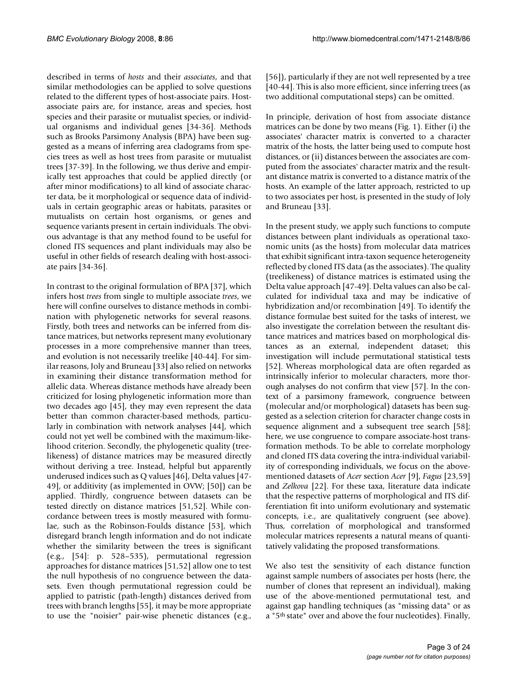described in terms of *hosts* and their *associates*, and that similar methodologies can be applied to solve questions related to the different types of host-associate pairs. Hostassociate pairs are, for instance, areas and species, host species and their parasite or mutualist species, or individual organisms and individual genes [34-36]. Methods such as Brooks Parsimony Analysis (BPA) have been suggested as a means of inferring area cladograms from species trees as well as host trees from parasite or mutualist trees [37-39]. In the following, we thus derive and empirically test approaches that could be applied directly (or after minor modifications) to all kind of associate character data, be it morphological or sequence data of individuals in certain geographic areas or habitats, parasites or mutualists on certain host organisms, or genes and sequence variants present in certain individuals. The obvious advantage is that any method found to be useful for cloned ITS sequences and plant individuals may also be useful in other fields of research dealing with host-associate pairs [34-36].

In contrast to the original formulation of BPA [37], which infers host *trees* from single to multiple associate *trees*, we here will confine ourselves to distance methods in combination with phylogenetic networks for several reasons. Firstly, both trees and networks can be inferred from distance matrices, but networks represent many evolutionary processes in a more comprehensive manner than trees, and evolution is not necessarily treelike [40-44]. For similar reasons, Joly and Bruneau [[33](#page-22-0)] also relied on networks in examining their distance transformation method for allelic data. Whereas distance methods have already been criticized for losing phylogenetic information more than two decades ago [45], they may even represent the data better than common character-based methods, particularly in combination with network analyses [44], which could not yet well be combined with the maximum-likelihood criterion. Secondly, the phylogenetic quality (treelikeness) of distance matrices may be measured directly without deriving a tree. Instead, helpful but apparently underused indices such as Q values [46], Delta values [47- 49], or additivity (as implemented in OVW; [50]) can be applied. Thirdly, congruence between datasets can be tested directly on distance matrices [51,52]. While concordance between trees is mostly measured with formulae, such as the Robinson-Foulds distance [53], which disregard branch length information and do not indicate whether the similarity between the trees is significant (e.g., [54]: p. 528–535), permutational regression approaches for distance matrices [51,52] allow one to test the null hypothesis of no congruence between the datasets. Even though permutational regression could be applied to patristic (path-length) distances derived from trees with branch lengths [55], it may be more appropriate to use the "noisier" pair-wise phenetic distances (e.g.,

[56]), particularly if they are not well represented by a tree [40-44]. This is also more efficient, since inferring trees (as two additional computational steps) can be omitted.

In principle, derivation of host from associate distance matrices can be done by two means (Fig. 1). Either (i) the associates' character matrix is converted to a character matrix of the hosts, the latter being used to compute host distances, or (ii) distances between the associates are computed from the associates' character matrix and the resultant distance matrix is converted to a distance matrix of the hosts. An example of the latter approach, restricted to up to two associates per host, is presented in the study of Joly and Bruneau [[33\]](#page-22-0).

In the present study, we apply such functions to compute distances between plant individuals as operational taxonomic units (as the hosts) from molecular data matrices that exhibit significant intra-taxon sequence heterogeneity reflected by cloned ITS data (as the associates). The quality (treelikeness) of distance matrices is estimated using the Delta value approach [47-49]. Delta values can also be calculated for individual taxa and may be indicative of hybridization and/or recombination [49]. To identify the distance formulae best suited for the tasks of interest, we also investigate the correlation between the resultant distance matrices and matrices based on morphological distances as an external, independent dataset; this investigation will include permutational statistical tests [52]. Whereas morphological data are often regarded as intrinsically inferior to molecular characters, more thorough analyses do not confirm that view [57]. In the context of a parsimony framework, congruence between (molecular and/or morphological) datasets has been suggested as a selection criterion for character change costs in sequence alignment and a subsequent tree search [58]; here, we use congruence to compare associate-host transformation methods. To be able to correlate morphology and cloned ITS data covering the intra-individual variability of corresponding individuals, we focus on the abovementioned datasets of *Acer* section *Acer* [9], *Fagus* [23,59] and *Zelkova* [22]. For these taxa, literature data indicate that the respective patterns of morphological and ITS differentiation fit into uniform evolutionary and systematic concepts, i.e., are qualitatively congruent (see above). Thus, correlation of morphological and transformed molecular matrices represents a natural means of quantitatively validating the proposed transformations.

We also test the sensitivity of each distance function against sample numbers of associates per hosts (here, the number of clones that represent an individual), making use of the above-mentioned permutational test, and against gap handling techniques (as "missing data" or as a "5th state" over and above the four nucleotides). Finally,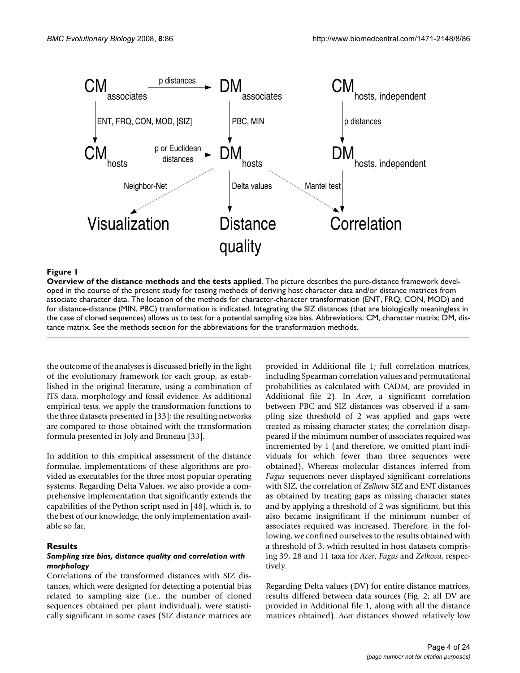

**Overview of the distance methods and the tests applied**. The picture describes the pure-distance framework developed in the course of the present study for testing methods of deriving host character data and/or distance matrices from associate character data. The location of the methods for character-character transformation (ENT, FRQ, CON, MOD) and for distance-distance (MIN, PBC) transformation is indicated. Integrating the SIZ distances (that are biologically meaningless in the case of cloned sequences) allows us to test for a potential sampling size bias. Abbreviations: CM, character matrix; DM, distance matrix. See the methods section for the abbreviations for the transformation methods.

the outcome of the analyses is discussed briefly in the light of the evolutionary framework for each group, as established in the original literature, using a combination of ITS data, morphology and fossil evidence. As additional empirical tests, we apply the transformation functions to the three datasets presented in [\[33](#page-22-0)]; the resulting networks are compared to those obtained with the transformation formula presented in Joly and Bruneau [[33](#page-22-0)].

In addition to this empirical assessment of the distance formulae, implementations of these algorithms are provided as executables for the three most popular operating systems. Regarding Delta Values, we also provide a comprehensive implementation that significantly extends the capabilities of the Python script used in [48], which is, to the best of our knowledge, the only implementation available so far.

#### **Results**

# *Sampling size bias, distance quality and correlation with morphology*

Correlations of the transformed distances with SIZ distances, which were designed for detecting a potential bias related to sampling size (i.e., the number of cloned sequences obtained per plant individual), were statistically significant in some cases (SIZ distance matrices are provided in Additional file 1; full correlation matrices, including Spearman correlation values and permutational probabilities as calculated with CADM, are provided in Additional file 2). In *Acer*, a significant correlation between PBC and SIZ distances was observed if a sampling size threshold of 2 was applied and gaps were treated as missing character states; the correlation disappeared if the minimum number of associates required was incremented by 1 (and therefore, we omitted plant individuals for which fewer than three sequences were obtained). Whereas molecular distances inferred from *Fagus* sequences never displayed significant correlations with SIZ, the correlation of *Zelkova* SIZ and ENT distances as obtained by treating gaps as missing character states and by applying a threshold of 2 was significant, but this also became insignificant if the minimum number of associates required was increased. Therefore, in the following, we confined ourselves to the results obtained with a threshold of 3, which resulted in host datasets comprising 39, 28 and 11 taxa for *Acer*, *Fagus* and *Zelkova*, respectively.

Regarding Delta values (DV) for entire distance matrices, results differed between data sources (Fig. 2; all DV are provided in Additional file 1, along with all the distance matrices obtained). *Acer* distances showed relatively low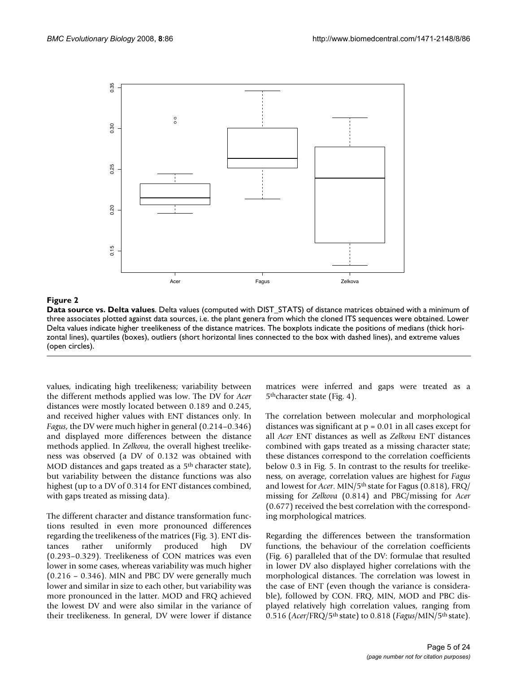

**Data source vs. Delta values**. Delta values (computed with DIST\_STATS) of distance matrices obtained with a minimum of three associates plotted against data sources, i.e. the plant genera from which the cloned ITS sequences were obtained. Lower Delta values indicate higher treelikeness of the distance matrices. The boxplots indicate the positions of medians (thick horizontal lines), quartiles (boxes), outliers (short horizontal lines connected to the box with dashed lines), and extreme values (open circles).

values, indicating high treelikeness; variability between the different methods applied was low. The DV for *Acer* distances were mostly located between 0.189 and 0.245, and received higher values with ENT distances only. In *Fagus*, the DV were much higher in general (0.214–0.346) and displayed more differences between the distance methods applied. In *Zelkova*, the overall highest treelikeness was observed (a DV of 0.132 was obtained with MOD distances and gaps treated as a 5<sup>th</sup> character state), but variability between the distance functions was also highest (up to a DV of 0.314 for ENT distances combined, with gaps treated as missing data).

The different character and distance transformation functions resulted in even more pronounced differences regarding the treelikeness of the matrices (Fig. 3). ENT distances rather uniformly produced high DV (0.293–0.329). Treelikeness of CON matrices was even lower in some cases, whereas variability was much higher (0.216 – 0.346). MIN and PBC DV were generally much lower and similar in size to each other, but variability was more pronounced in the latter. MOD and FRQ achieved the lowest DV and were also similar in the variance of their treelikeness. In general, DV were lower if distance matrices were inferred and gaps were treated as a 5<sup>th</sup>character state (Fig. 4).

The correlation between molecular and morphological distances was significant at  $p = 0.01$  in all cases except for all *Acer* ENT distances as well as *Zelkova* ENT distances combined with gaps treated as a missing character state; these distances correspond to the correlation coefficients below 0.3 in Fig. 5. In contrast to the results for treelikeness, on average, correlation values are highest for *Fagus* and lowest for *Acer*. MIN/5th state for Fagus (0.818), FRQ/ missing for *Zelkova* (0.814) and PBC/missing for *Acer* (0.677) received the best correlation with the corresponding morphological matrices.

Regarding the differences between the transformation functions, the behaviour of the correlation coefficients (Fig. 6) paralleled that of the DV: formulae that resulted in lower DV also displayed higher correlations with the morphological distances. The correlation was lowest in the case of ENT (even though the variance is considerable), followed by CON. FRQ, MIN, MOD and PBC displayed relatively high correlation values, ranging from 0.516 (*Acer*/FRQ/5th state) to 0.818 (*Fagus*/MIN/5th state).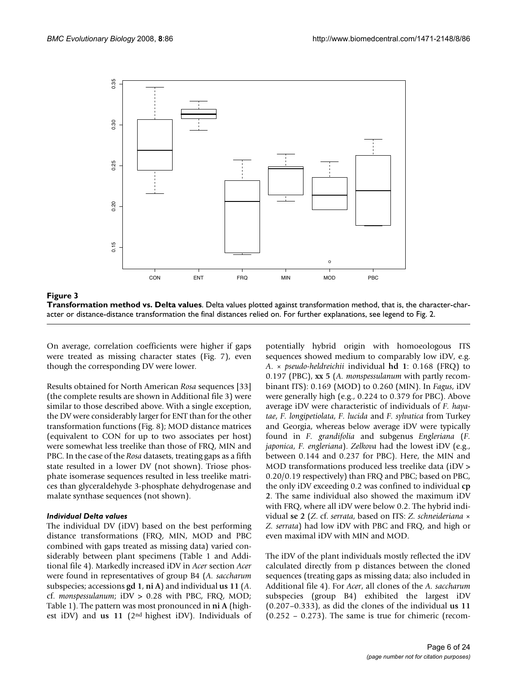

Figure 3

**Transformation method vs. Delta values**. Delta values plotted against transformation method, that is, the character-character or distance-distance transformation the final distances relied on. For further explanations, see legend to Fig. 2.

On average, correlation coefficients were higher if gaps were treated as missing character states (Fig. 7), even though the corresponding DV were lower.

Results obtained for North American *Rosa* sequences [[33\]](#page-22-0) (the complete results are shown in Additional file 3) were similar to those described above. With a single exception, the DV were considerably larger for ENT than for the other transformation functions (Fig. 8); MOD distance matrices (equivalent to CON for up to two associates per host) were somewhat less treelike than those of FRQ, MIN and PBC. In the case of the *Rosa* datasets, treating gaps as a fifth state resulted in a lower DV (not shown). Triose phosphate isomerase sequences resulted in less treelike matrices than glyceraldehyde 3-phosphate dehydrogenase and malate synthase sequences (not shown).

#### *Individual Delta values*

The individual DV (iDV) based on the best performing distance transformations (FRQ, MIN, MOD and PBC combined with gaps treated as missing data) varied considerably between plant specimens (Table 1 and Additional file 4). Markedly increased iDV in *Acer* section *Acer* were found in representatives of group B4 (*A. saccharum* subspecies; accessions **gd 1**, **ni A**) and individual **us 11** (*A*. cf. *monspessulanum*; iDV > 0.28 with PBC, FRQ, MOD; Table 1). The pattern was most pronounced in **ni A** (highest iDV) and **us 11** (2nd highest iDV). Individuals of potentially hybrid origin with homoeologous ITS sequences showed medium to comparably low iDV, e.g. *A*. × *pseudo-heldreichii* individual **hd 1**: 0.168 (FRQ) to 0.197 (PBC), **xx 5** (*A. monspessulanum* with partly recombinant ITS): 0.169 (MOD) to 0.260 (MIN). In *Fagus*, iDV were generally high (e.g., 0.224 to 0.379 for PBC). Above average iDV were characteristic of individuals of *F. hayatae*, *F. longipetiolata*, *F. lucida* and *F. sylvatica* from Turkey and Georgia, whereas below average iDV were typically found in *F. grandifolia* and subgenus *Engleriana* (*F. japonica*, *F. engleriana*). *Zelkova* had the lowest iDV (e.g., between 0.144 and 0.237 for PBC). Here, the MIN and MOD transformations produced less treelike data (iDV > 0.20/0.19 respectively) than FRQ and PBC; based on PBC, the only iDV exceeding 0.2 was confined to individual **cp 2**. The same individual also showed the maximum iDV with FRQ, where all iDV were below 0.2. The hybrid individual **se 2** (*Z*. cf. *serrata*, based on ITS: *Z. schneideriana* × *Z. serrata*) had low iDV with PBC and FRQ, and high or even maximal iDV with MIN and MOD.

The iDV of the plant individuals mostly reflected the iDV calculated directly from p distances between the cloned sequences (treating gaps as missing data; also included in Additional file 4). For *Acer*, all clones of the *A. saccharum* subspecies (group B4) exhibited the largest iDV (0.207–0.333), as did the clones of the individual **us 11**  $(0.252 - 0.273)$ . The same is true for chimeric (recom-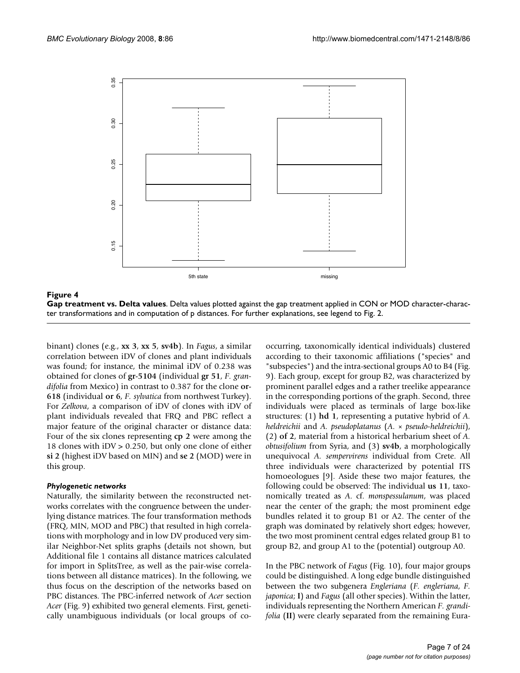

**Gap treatment vs. Delta values**. Delta values plotted against the gap treatment applied in CON or MOD character-character transformations and in computation of p distances. For further explanations, see legend to Fig. 2.

binant) clones (e.g., **xx 3**, **xx 5**, **sv4b**). In *Fagus*, a similar correlation between iDV of clones and plant individuals was found; for instance, the minimal iDV of 0.238 was obtained for clones of **gr-5104** (individual **gr 51**, *F. grandifolia* from Mexico) in contrast to 0.387 for the clone **or-618** (individual **or 6**, *F. sylvatica* from northwest Turkey). For *Zelkova*, a comparison of iDV of clones with iDV of plant individuals revealed that FRQ and PBC reflect a major feature of the original character or distance data: Four of the six clones representing **cp 2** were among the 18 clones with iDV > 0.250, but only one clone of either **si 2** (highest iDV based on MIN) and **se 2** (MOD) were in this group.

#### *Phylogenetic networks*

Naturally, the similarity between the reconstructed networks correlates with the congruence between the underlying distance matrices. The four transformation methods (FRQ, MIN, MOD and PBC) that resulted in high correlations with morphology and in low DV produced very similar Neighbor-Net splits graphs (details not shown, but Additional file 1 contains all distance matrices calculated for import in SplitsTree, as well as the pair-wise correlations between all distance matrices). In the following, we thus focus on the description of the networks based on PBC distances. The PBC-inferred network of *Acer* section *Acer* (Fig. 9) exhibited two general elements. First, genetically unambiguous individuals (or local groups of cooccurring, taxonomically identical individuals) clustered according to their taxonomic affiliations ("species" and "subspecies") and the intra-sectional groups A0 to B4 (Fig. 9). Each group, except for group B2, was characterized by prominent parallel edges and a rather treelike appearance in the corresponding portions of the graph. Second, three individuals were placed as terminals of large box-like structures: (1) **hd 1**, representing a putative hybrid of *A. heldreichii* and *A. pseudoplatanus* (*A*. × *pseudo-heldreichii*), (2) **of 2**, material from a historical herbarium sheet of *A. obtusifolium* from Syria, and (3) **sv4b**, a morphologically unequivocal *A. sempervirens* individual from Crete. All three individuals were characterized by potential ITS homoeologues [9]. Aside these two major features, the following could be observed: The individual **us 11**, taxonomically treated as *A*. cf. *monspessulanum*, was placed near the center of the graph; the most prominent edge bundles related it to group B1 or A2. The center of the graph was dominated by relatively short edges; however, the two most prominent central edges related group B1 to group B2, and group A1 to the (potential) outgroup A0.

In the PBC network of *Fagus* (Fig. 10), four major groups could be distinguished. A long edge bundle distinguished between the two subgenera *Engleriana* (*F. engleriana*, *F. japonica*; **I**) and *Fagus* (all other species). Within the latter, individuals representing the Northern American *F. grandifolia* (**II**) were clearly separated from the remaining Eura-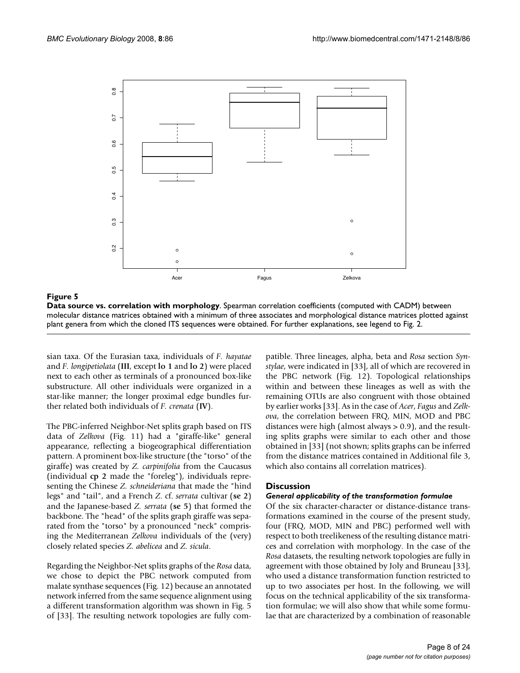

**Data source vs. correlation with morphology**. Spearman correlation coefficients (computed with CADM) between molecular distance matrices obtained with a minimum of three associates and morphological distance matrices plotted against plant genera from which the cloned ITS sequences were obtained. For further explanations, see legend to Fig. 2.

sian taxa. Of the Eurasian taxa, individuals of *F. hayatae* and *F. longipetiolata* (**III**, except **lo 1** and **lo 2**) were placed next to each other as terminals of a pronounced box-like substructure. All other individuals were organized in a star-like manner; the longer proximal edge bundles further related both individuals of *F. crenata* (**IV**).

The PBC-inferred Neighbor-Net splits graph based on ITS data of *Zelkova* (Fig. 11) had a "giraffe-like" general appearance, reflecting a biogeographical differentiation pattern. A prominent box-like structure (the "torso" of the giraffe) was created by *Z. carpinifolia* from the Caucasus (individual **cp 2** made the "foreleg"), individuals representing the Chinese *Z. schneideriana* that made the "hind legs" and "tail", and a French *Z*. cf. *serrata* cultivar (**se 2**) and the Japanese-based *Z. serrata* (**se 5**) that formed the backbone. The "head" of the splits graph giraffe was separated from the "torso" by a pronounced "neck" comprising the Mediterranean *Zelkova* individuals of the (very) closely related species *Z. abelicea* and *Z. sicula*.

Regarding the Neighbor-Net splits graphs of the *Rosa* data, we chose to depict the PBC network computed from malate synthase sequences (Fig. 12) because an annotated network inferred from the same sequence alignment using a different transformation algorithm was shown in Fig. 5 of [[33\]](#page-22-0). The resulting network topologies are fully compatible. Three lineages, alpha, beta and *Rosa* section *Synstylae*, were indicated in [[33\]](#page-22-0), all of which are recovered in the PBC network (Fig. 12). Topological relationships within and between these lineages as well as with the remaining OTUs are also congruent with those obtained by earlier works [[33\]](#page-22-0). As in the case of *Acer*, *Fagus* and *Zelkova*, the correlation between FRQ, MIN, MOD and PBC distances were high (almost always > 0.9), and the resulting splits graphs were similar to each other and those obtained in [\[33](#page-22-0)] (not shown; splits graphs can be inferred from the distance matrices contained in Additional file 3, which also contains all correlation matrices).

#### **Discussion**

#### *General applicability of the transformation formulae*

Of the six character-character or distance-distance transformations examined in the course of the present study, four (FRQ, MOD, MIN and PBC) performed well with respect to both treelikeness of the resulting distance matrices and correlation with morphology. In the case of the *Rosa* datasets, the resulting network topologies are fully in agreement with those obtained by Joly and Bruneau [\[33](#page-22-0)], who used a distance transformation function restricted to up to two associates per host. In the following, we will focus on the technical applicability of the six transformation formulae; we will also show that while some formulae that are characterized by a combination of reasonable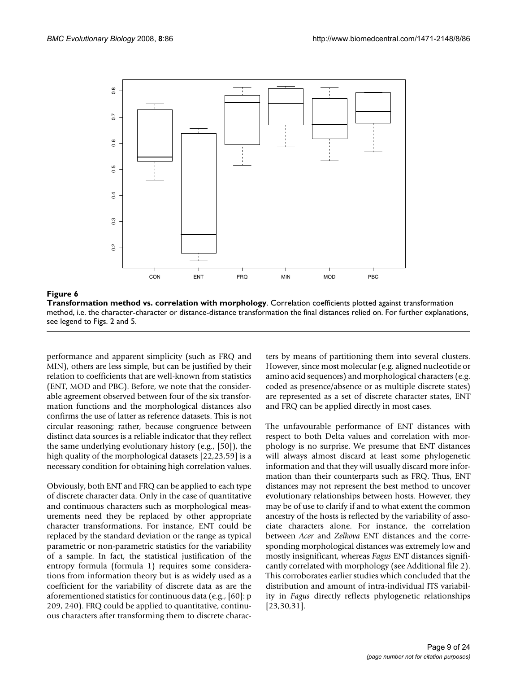

**Transformation method vs. correlation with morphology**. Correlation coefficients plotted against transformation method, i.e. the character-character or distance-distance transformation the final distances relied on. For further explanations, see legend to Figs. 2 and 5.

performance and apparent simplicity (such as FRQ and MIN), others are less simple, but can be justified by their relation to coefficients that are well-known from statistics (ENT, MOD and PBC). Before, we note that the considerable agreement observed between four of the six transformation functions and the morphological distances also confirms the use of latter as reference datasets. This is not circular reasoning; rather, because congruence between distinct data sources is a reliable indicator that they reflect the same underlying evolutionary history (e.g., [50]), the high quality of the morphological datasets [22,23,59] is a necessary condition for obtaining high correlation values.

Obviously, both ENT and FRQ can be applied to each type of discrete character data. Only in the case of quantitative and continuous characters such as morphological measurements need they be replaced by other appropriate character transformations. For instance, ENT could be replaced by the standard deviation or the range as typical parametric or non-parametric statistics for the variability of a sample. In fact, the statistical justification of the entropy formula (formula 1) requires some considerations from information theory but is as widely used as a coefficient for the variability of discrete data as are the aforementioned statistics for continuous data (e.g., [60]: p 209, 240). FRQ could be applied to quantitative, continuous characters after transforming them to discrete characters by means of partitioning them into several clusters. However, since most molecular (e.g. aligned nucleotide or amino acid sequences) and morphological characters (e.g. coded as presence/absence or as multiple discrete states) are represented as a set of discrete character states, ENT and FRQ can be applied directly in most cases.

The unfavourable performance of ENT distances with respect to both Delta values and correlation with morphology is no surprise. We presume that ENT distances will always almost discard at least some phylogenetic information and that they will usually discard more information than their counterparts such as FRQ. Thus, ENT distances may not represent the best method to uncover evolutionary relationships between hosts. However, they may be of use to clarify if and to what extent the common ancestry of the hosts is reflected by the variability of associate characters alone. For instance, the correlation between *Acer* and *Zelkova* ENT distances and the corresponding morphological distances was extremely low and mostly insignificant, whereas *Fagus* ENT distances significantly correlated with morphology (see Additional file 2). This corroborates earlier studies which concluded that the distribution and amount of intra-individual ITS variability in *Fagus* directly reflects phylogenetic relationships [23,30,31].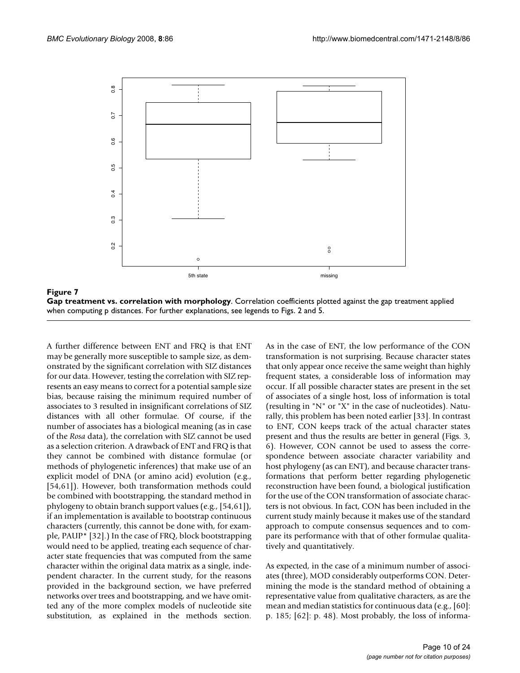

Figure 7

**Gap treatment vs. correlation with morphology**. Correlation coefficients plotted against the gap treatment applied when computing p distances. For further explanations, see legends to Figs. 2 and 5.

A further difference between ENT and FRQ is that ENT may be generally more susceptible to sample size, as demonstrated by the significant correlation with SIZ distances for our data. However, testing the correlation with SIZ represents an easy means to correct for a potential sample size bias, because raising the minimum required number of associates to 3 resulted in insignificant correlations of SIZ distances with all other formulae. Of course, if the number of associates has a biological meaning (as in case of the *Rosa* data), the correlation with SIZ cannot be used as a selection criterion. A drawback of ENT and FRQ is that they cannot be combined with distance formulae (or methods of phylogenetic inferences) that make use of an explicit model of DNA (or amino acid) evolution (e.g., [54,61]). However, both transformation methods could be combined with bootstrapping, the standard method in phylogeny to obtain branch support values (e.g., [54,61]), if an implementation is available to bootstrap continuous characters (currently, this cannot be done with, for example, PAUP\* [32].) In the case of FRQ, block bootstrapping would need to be applied, treating each sequence of character state frequencies that was computed from the same character within the original data matrix as a single, independent character. In the current study, for the reasons provided in the background section, we have preferred networks over trees and bootstrapping, and we have omitted any of the more complex models of nucleotide site substitution, as explained in the methods section.

As in the case of ENT, the low performance of the CON transformation is not surprising. Because character states that only appear once receive the same weight than highly frequent states, a considerable loss of information may occur. If all possible character states are present in the set of associates of a single host, loss of information is total (resulting in "N" or "X" in the case of nucleotides). Naturally, this problem has been noted earlier [\[33](#page-22-0)]. In contrast to ENT, CON keeps track of the actual character states present and thus the results are better in general (Figs. 3, 6). However, CON cannot be used to assess the correspondence between associate character variability and host phylogeny (as can ENT), and because character transformations that perform better regarding phylogenetic reconstruction have been found, a biological justification for the use of the CON transformation of associate characters is not obvious. In fact, CON has been included in the current study mainly because it makes use of the standard approach to compute consensus sequences and to compare its performance with that of other formulae qualitatively and quantitatively.

As expected, in the case of a minimum number of associates (three), MOD considerably outperforms CON. Determining the mode is the standard method of obtaining a representative value from qualitative characters, as are the mean and median statistics for continuous data (e.g., [60]: p. 185; [62]: p. 48). Most probably, the loss of informa-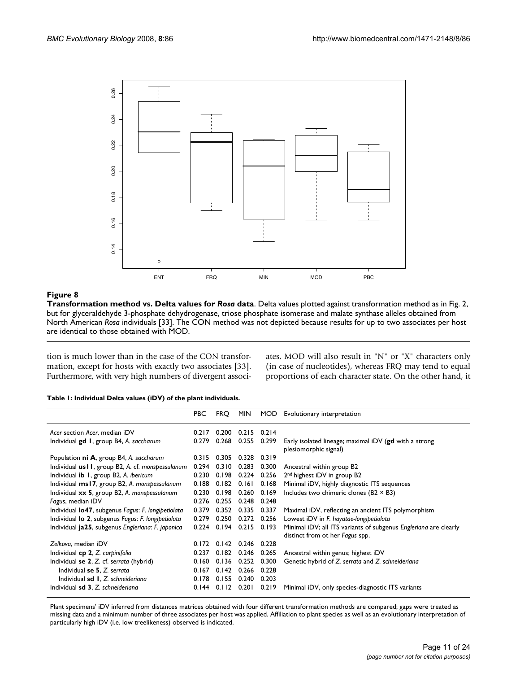

**Transformation method vs. Delta values for** *Rosa* **data**. Delta values plotted against transformation method as in Fig. 2, but for glyceraldehyde 3-phosphate dehydrogenase, triose phosphate isomerase and malate synthase alleles obtained from North American *Rosa* individuals [33]. The CON method was not depicted because results for up to two associates per host are identical to those obtained with MOD.

tion is much lower than in the case of the CON transformation, except for hosts with exactly two associates [\[33](#page-22-0)]. Furthermore, with very high numbers of divergent associates, MOD will also result in "N" or "X" characters only (in case of nucleotides), whereas FRQ may tend to equal proportions of each character state. On the other hand, it

#### **Table 1: Individual Delta values (iDV) of the plant individuals.**

|                                                            | PBC.  | FRO.  | <b>MIN</b>      | MOD           | Evolutionary interpretation                                                                         |
|------------------------------------------------------------|-------|-------|-----------------|---------------|-----------------------------------------------------------------------------------------------------|
| Acer section Acer, median iDV                              | 0.217 | 0.200 | $0.215$ $0.214$ |               |                                                                                                     |
| Individual gd I, group B4, A. saccharum                    | 0.279 | 0.268 | 0.255 0.299     |               | Early isolated lineage; maximal iDV (gd with a strong<br>plesiomorphic signal)                      |
| Population ni A, group B4, A. saccharum                    | 0.315 | 0.305 | $0.328$ $0.319$ |               |                                                                                                     |
| Individual us II, group B2, A. cf. monspessulanum          | 0.294 | 0.310 | 0.283           | 0.300         | Ancestral within group B2                                                                           |
| Individual ib 1, group B2, A. ibericum                     | 0.230 | 0.198 | 0.224           | 0.256         | 2 <sup>nd</sup> highest iDV in group B2                                                             |
| Individual ms17, group B2, A. monspessulanum               | 0.188 | 0.182 | 0.161           | 0.168         | Minimal iDV, highly diagnostic ITS sequences                                                        |
| Individual xx 5, group B2, A. monspessulanum               | 0.230 | 0.198 | 0.260           | 0.169         | Includes two chimeric clones ( $B2 \times B3$ )                                                     |
| Fagus, median iDV                                          | 0.276 | 0.255 | 0.248           | 0.248         |                                                                                                     |
| Individual <b>Io47</b> , subgenus Fagus: F. longipetiolata | 0.379 | 0.352 | 0.335           | 0.337         | Maximal iDV, reflecting an ancient ITS polymorphism                                                 |
| Individual <b>lo 2</b> , subgenus Fagus: F. longipetiolata | 0.279 | 0.250 |                 | $0.272$ 0.256 | Lowest iDV in F. hayatae-longipetiolata                                                             |
| Individual ja25, subgenus Engleriana: F. japonica          | 0.224 | 0.194 | $0.215$ 0.193   |               | Minimal iDV; all ITS variants of subgenus Engleriana are clearly<br>distinct from ot her Fagus spp. |
| Zelkova, median iDV                                        | 0.172 | 0.142 | 0.246 0.228     |               |                                                                                                     |
| Individual cp 2, Z. carpinifolia                           | 0.237 | 0.182 | 0.246           | 0.265         | Ancestral within genus; highest iDV                                                                 |
| Individual se 2, Z. cf. serrata (hybrid)                   | 0.160 | 0.136 | 0.252           | 0.300         | Genetic hybrid of Z. serrata and Z. schneideriana                                                   |
| Individual se 5, Z. serrata                                | 0.167 | 0.142 | 0.266           | 0.228         |                                                                                                     |
| Individual sd I, Z. schneideriana                          | 0.178 | 0.155 | 0.240           | 0.203         |                                                                                                     |
| Individual sd 3, Z. schneideriana                          | 0.144 | 0.112 | 0.201           | 0.219         | Minimal iDV, only species-diagnostic ITS variants                                                   |

Plant specimens' iDV inferred from distances matrices obtained with four different transformation methods are compared; gaps were treated as missing data and a minimum number of three associates per host was applied. Affiliation to plant species as well as an evolutionary interpretation of particularly high iDV (i.e. low treelikeness) observed is indicated.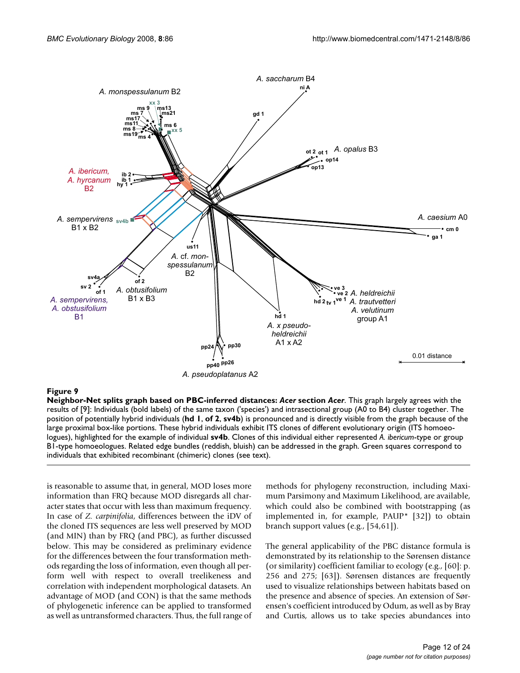

**Neighbor-Net splits graph based on PBC-inferred distances:** *Acer* **section** *Acer*. This graph largely agrees with the results of [9]: Individuals (bold labels) of the same taxon ('species') and intrasectional group (A0 to B4) cluster together. The position of potentially hybrid individuals (**hd 1**, **of 2**, **sv4b**) is pronounced and is directly visible from the graph because of the large proximal box-like portions. These hybrid individuals exhibit ITS clones of different evolutionary origin (ITS homoeologues), highlighted for the example of individual **sv4b**. Clones of this individual either represented *A. ibericum*-type or group B1-type homoeologues. Related edge bundles (reddish, bluish) can be addressed in the graph. Green squares correspond to individuals that exhibited recombinant (chimeric) clones (see text).

is reasonable to assume that, in general, MOD loses more information than FRQ because MOD disregards all character states that occur with less than maximum frequency. In case of *Z. carpinifolia*, differences between the iDV of the cloned ITS sequences are less well preserved by MOD (and MIN) than by FRQ (and PBC), as further discussed below. This may be considered as preliminary evidence for the differences between the four transformation methods regarding the loss of information, even though all perform well with respect to overall treelikeness and correlation with independent morphological datasets. An advantage of MOD (and CON) is that the same methods of phylogenetic inference can be applied to transformed as well as untransformed characters. Thus, the full range of methods for phylogeny reconstruction, including Maximum Parsimony and Maximum Likelihood, are available, which could also be combined with bootstrapping (as implemented in, for example, PAUP\* [32]) to obtain branch support values (e.g., [54,61]).

The general applicability of the PBC distance formula is demonstrated by its relationship to the Sørensen distance (or similarity) coefficient familiar to ecology (e.g., [60]: p. 256 and 275; [63]). Sørensen distances are frequently used to visualize relationships between habitats based on the presence and absence of species. An extension of Sørensen's coefficient introduced by Odum, as well as by Bray and Curtis, allows us to take species abundances into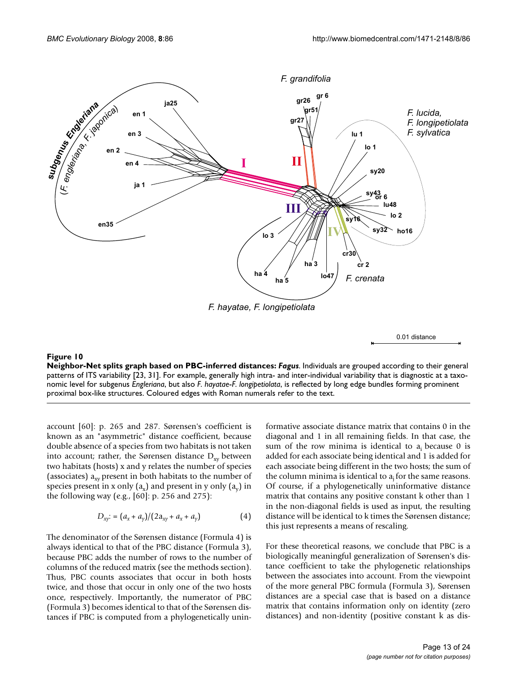

**Neighbor-Net splits graph based on PBC-inferred distances:** *Fagus*. Individuals are grouped according to their general patterns of ITS variability [23, 31]. For example, generally high intra- and inter-individual variability that is diagnostic at a taxonomic level for subgenus *Engleriana*, but also *F. hayatae*-*F. longipetiolata*, is reflected by long edge bundles forming prominent proximal box-like structures. Coloured edges with Roman numerals refer to the text.

account [60]: p. 265 and 287. Sørensen's coefficient is known as an "asymmetric" distance coefficient, because double absence of a species from two habitats is not taken into account; rather, the Sørensen distance  $D_{xy}$  between two habitats (hosts) x and y relates the number of species (associates)  $a_{xy}$  present in both habitats to the number of species present in x only  $(a_x)$  and present in y only  $(a_y)$  in the following way (e.g., [60]: p. 256 and 275):

$$
D_{xy} = (a_x + a_y)/(2a_{xy} + a_x + a_y)
$$
 (4)

The denominator of the Sørensen distance (Formula 4) is always identical to that of the PBC distance (Formula 3), because PBC adds the number of rows to the number of columns of the reduced matrix (see the methods section). Thus, PBC counts associates that occur in both hosts twice, and those that occur in only one of the two hosts once, respectively. Importantly, the numerator of PBC (Formula 3) becomes identical to that of the Sørensen distances if PBC is computed from a phylogenetically uninformative associate distance matrix that contains 0 in the diagonal and 1 in all remaining fields. In that case, the sum of the row minima is identical to a because  $0$  is added for each associate being identical and 1 is added for each associate being different in the two hosts; the sum of the column minima is identical to  $a_i$  for the same reasons. Of course, if a phylogenetically uninformative distance matrix that contains any positive constant k other than 1 in the non-diagonal fields is used as input, the resulting distance will be identical to k times the Sørensen distance; this just represents a means of rescaling.

For these theoretical reasons, we conclude that PBC is a biologically meaningful generalization of Sørensen's distance coefficient to take the phylogenetic relationships between the associates into account. From the viewpoint of the more general PBC formula (Formula 3), Sørensen distances are a special case that is based on a distance matrix that contains information only on identity (zero distances) and non-identity (positive constant k as dis-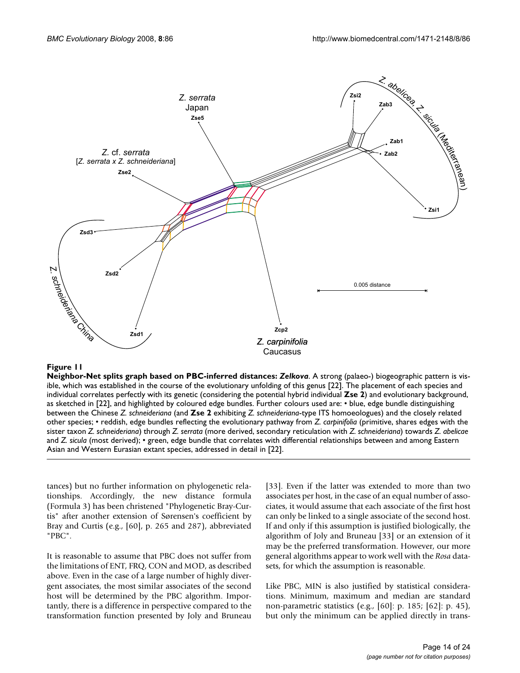

**Neighbor-Net splits graph based on PBC-inferred distances:** *Zelkova*. A strong (palaeo-) biogeographic pattern is visible, which was established in the course of the evolutionary unfolding of this genus [22]. The placement of each species and individual correlates perfectly with its genetic (considering the potential hybrid individual **Zse 2**) and evolutionary background, as sketched in [22], and highlighted by coloured edge bundles. Further colours used are: • blue, edge bundle distinguishing between the Chinese *Z. schneideriana* (and **Zse 2** exhibiting *Z. schneideriana*-type ITS homoeologues) and the closely related other species; • reddish, edge bundles reflecting the evolutionary pathway from *Z. carpinifolia* (primitive, shares edges with the sister taxon *Z. schneideriana*) through *Z. serrata* (more derived, secondary reticulation with *Z. schneideriana*) towards *Z. abelicae*  and *Z. sicula* (most derived); • green, edge bundle that correlates with differential relationships between and among Eastern Asian and Western Eurasian extant species, addressed in detail in [22].

tances) but no further information on phylogenetic relationships. Accordingly, the new distance formula (Formula 3) has been christened "Phylogenetic Bray-Curtis" after another extension of Sørensen's coefficient by Bray and Curtis (e.g., [60], p. 265 and 287), abbreviated "PBC".

It is reasonable to assume that PBC does not suffer from the limitations of ENT, FRQ, CON and MOD, as described above. Even in the case of a large number of highly divergent associates, the most similar associates of the second host will be determined by the PBC algorithm. Importantly, there is a difference in perspective compared to the transformation function presented by Joly and Bruneau

[[33](#page-22-0)]. Even if the latter was extended to more than two associates per host, in the case of an equal number of associates, it would assume that each associate of the first host can only be linked to a single associate of the second host. If and only if this assumption is justified biologically, the algorithm of Joly and Bruneau [[33\]](#page-22-0) or an extension of it may be the preferred transformation. However, our more general algorithms appear to work well with the *Rosa* datasets, for which the assumption is reasonable.

Like PBC, MIN is also justified by statistical considerations. Minimum, maximum and median are standard non-parametric statistics (e.g., [60]: p. 185; [62]: p. 45), but only the minimum can be applied directly in trans-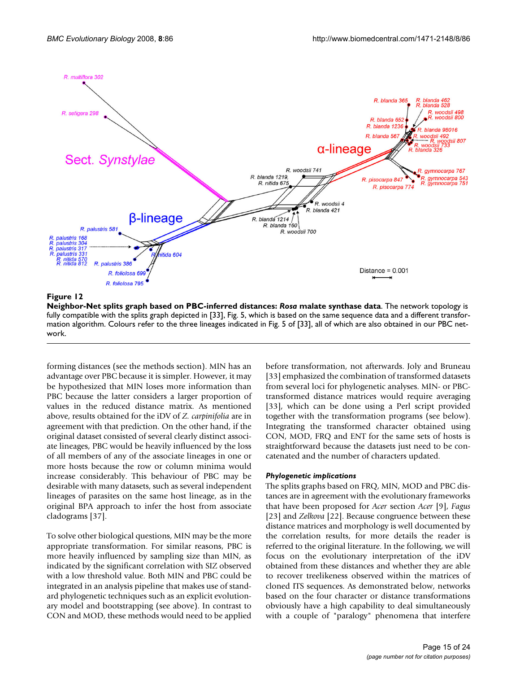

**Neighbor-Net splits graph based on PBC-inferred distances:** *Rosa* **malate synthase data**. The network topology is fully compatible with the splits graph depicted in [33], Fig. 5, which is based on the same sequence data and a different transformation algorithm. Colours refer to the three lineages indicated in Fig. 5 of [33], all of which are also obtained in our PBC network.

forming distances (see the methods section). MIN has an advantage over PBC because it is simpler. However, it may be hypothesized that MIN loses more information than PBC because the latter considers a larger proportion of values in the reduced distance matrix. As mentioned above, results obtained for the iDV of *Z. carpinifolia* are in agreement with that prediction. On the other hand, if the original dataset consisted of several clearly distinct associate lineages, PBC would be heavily influenced by the loss of all members of any of the associate lineages in one or more hosts because the row or column minima would increase considerably. This behaviour of PBC may be desirable with many datasets, such as several independent lineages of parasites on the same host lineage, as in the original BPA approach to infer the host from associate cladograms [37].

To solve other biological questions, MIN may be the more appropriate transformation. For similar reasons, PBC is more heavily influenced by sampling size than MIN, as indicated by the significant correlation with SIZ observed with a low threshold value. Both MIN and PBC could be integrated in an analysis pipeline that makes use of standard phylogenetic techniques such as an explicit evolutionary model and bootstrapping (see above). In contrast to CON and MOD, these methods would need to be applied

before transformation, not afterwards. Joly and Bruneau [[33](#page-22-0)] emphasized the combination of transformed datasets from several loci for phylogenetic analyses. MIN- or PBCtransformed distance matrices would require averaging [[33](#page-22-0)], which can be done using a Perl script provided together with the transformation programs (see below). Integrating the transformed character obtained using CON, MOD, FRQ and ENT for the same sets of hosts is straightforward because the datasets just need to be concatenated and the number of characters updated.

# *Phylogenetic implications*

The splits graphs based on FRQ, MIN, MOD and PBC distances are in agreement with the evolutionary frameworks that have been proposed for *Acer* section *Acer* [9], *Fagus* [23] and *Zelkova* [22]. Because congruence between these distance matrices and morphology is well documented by the correlation results, for more details the reader is referred to the original literature. In the following, we will focus on the evolutionary interpretation of the iDV obtained from these distances and whether they are able to recover treelikeness observed within the matrices of cloned ITS sequences. As demonstrated below, networks based on the four character or distance transformations obviously have a high capability to deal simultaneously with a couple of "paralogy" phenomena that interfere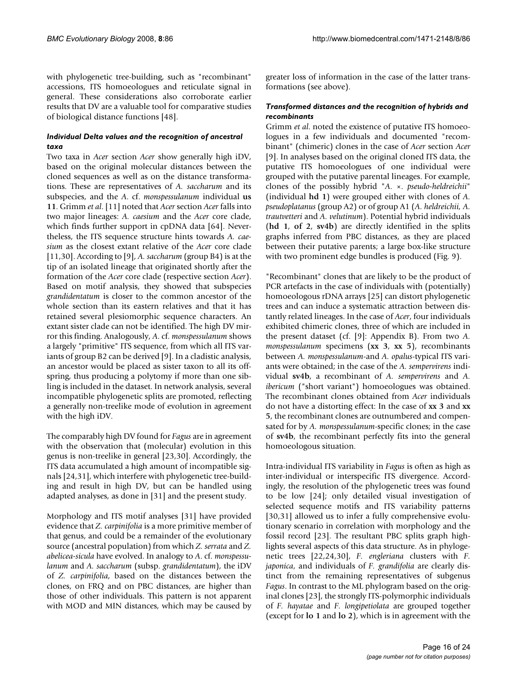with phylogenetic tree-building, such as "recombinant" accessions, ITS homoeologues and reticulate signal in general. These considerations also corroborate earlier results that DV are a valuable tool for comparative studies of biological distance functions [48].

#### *Individual Delta values and the recognition of ancestral taxa*

Two taxa in *Acer* section *Acer* show generally high iDV, based on the original molecular distances between the cloned sequences as well as on the distance transformations. These are representatives of *A. saccharum* and its subspecies, and the *A*. cf. *monspessulanum* individual **us 11**. Grimm *et al*. [11] noted that *Acer* section *Acer* falls into two major lineages: *A. caesium* and the *Acer* core clade, which finds further support in cpDNA data [64]. Nevertheless, the ITS sequence structure hints towards *A. caesium* as the closest extant relative of the *Acer* core clade [11,30]. According to [9], *A. saccharum* (group B4) is at the tip of an isolated lineage that originated shortly after the formation of the *Acer* core clade (respective section *Acer*). Based on motif analysis, they showed that subspecies *grandidentatum* is closer to the common ancestor of the whole section than its eastern relatives and that it has retained several plesiomorphic sequence characters. An extant sister clade can not be identified. The high DV mirror this finding. Analogously, *A*. cf. *monspessulanum* shows a largely "primitive" ITS sequence, from which all ITS variants of group B2 can be derived [9]. In a cladistic analysis, an ancestor would be placed as sister taxon to all its offspring, thus producing a polytomy if more than one sibling is included in the dataset. In network analysis, several incompatible phylogenetic splits are promoted, reflecting a generally non-treelike mode of evolution in agreement with the high iDV.

The comparably high DV found for *Fagus* are in agreement with the observation that (molecular) evolution in this genus is non-treelike in general [23,30]. Accordingly, the ITS data accumulated a high amount of incompatible signals [24,31], which interfere with phylogenetic tree-building and result in high DV, but can be handled using adapted analyses, as done in [31] and the present study.

Morphology and ITS motif analyses [31] have provided evidence that *Z. carpinifolia* is a more primitive member of that genus, and could be a remainder of the evolutionary source (ancestral population) from which *Z. serrata* and *Z. abelicea-sicula* have evolved. In analogy to *A*. cf. *monspessulanum* and *A. saccharum* (subsp. *grandidentatum*), the iDV of *Z. carpinifolia*, based on the distances between the clones, on FRQ and on PBC distances, are higher than those of other individuals. This pattern is not apparent with MOD and MIN distances, which may be caused by greater loss of information in the case of the latter transformations (see above).

#### *Transformed distances and the recognition of hybrids and recombinants*

Grimm *et al*. noted the existence of putative ITS homoeologues in a few individuals and documented "recombinant" (chimeric) clones in the case of *Acer* section *Acer* [9]. In analyses based on the original cloned ITS data, the putative ITS homoeologues of one individual were grouped with the putative parental lineages. For example, clones of the possibly hybrid "*A*. ×. *pseudo-heldreichii*" (individual **hd 1**) were grouped either with clones of *A. pseudoplatanus* (group A2) or of group A1 (*A. heldreichii, A. trautvetteri* and *A. velutinum*). Potential hybrid individuals (**hd 1**, **of 2**, **sv4b**) are directly identified in the splits graphs inferred from PBC distances, as they are placed between their putative parents; a large box-like structure with two prominent edge bundles is produced (Fig. 9).

"Recombinant" clones that are likely to be the product of PCR artefacts in the case of individuals with (potentially) homoeologous rDNA arrays [25] can distort phylogenetic trees and can induce a systematic attraction between distantly related lineages. In the case of *Acer*, four individuals exhibited chimeric clones, three of which are included in the present dataset (cf. [9]: Appendix B). From two *A. monspessulanum* specimens (**xx 3**, **xx 5**), recombinants between *A. monspessulanum*-and *A. opalus*-typical ITS variants were obtained; in the case of the *A. sempervirens* individual **sv4b**, a recombinant of *A. sempervirens* and *A. ibericum* ("short variant") homoeologues was obtained. The recombinant clones obtained from *Acer* individuals do not have a distorting effect: In the case of **xx 3** and **xx 5**, the recombinant clones are outnumbered and compensated for by *A. monspessulanum*-specific clones; in the case of **sv4b**, the recombinant perfectly fits into the general homoeologous situation.

Intra-individual ITS variability in *Fagus* is often as high as inter-individual or interspecific ITS divergence. Accordingly, the resolution of the phylogenetic trees was found to be low [24]; only detailed visual investigation of selected sequence motifs and ITS variability patterns [30,31] allowed us to infer a fully comprehensive evolutionary scenario in correlation with morphology and the fossil record [23]. The resultant PBC splits graph highlights several aspects of this data structure. As in phylogenetic trees [22,24,30], *F. engleriana* clusters with *F. japonica*, and individuals of *F. grandifolia* are clearly distinct from the remaining representatives of subgenus *Fagus*. In contrast to the ML phylogram based on the original clones [23], the strongly ITS-polymorphic individuals of *F. hayatae* and *F. longipetiolata* are grouped together (except for **lo 1** and **lo 2**), which is in agreement with the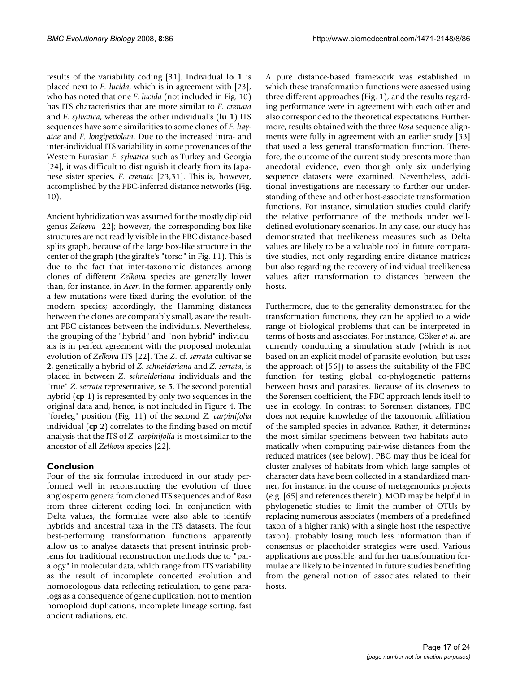results of the variability coding [31]. Individual **lo 1** is placed next to *F. lucida*, which is in agreement with [23], who has noted that one *F. lucida* (not included in Fig. 10) has ITS characteristics that are more similar to *F. crenata* and *F. sylvatica*, whereas the other individual's (**lu 1**) ITS sequences have some similarities to some clones of *F. hayatae* and *F. longipetiolata*. Due to the increased intra- and inter-individual ITS variability in some provenances of the Western Eurasian *F. sylvatica* such as Turkey and Georgia [24], it was difficult to distinguish it clearly from its Japanese sister species, *F. crenata* [23,31]. This is, however, accomplished by the PBC-inferred distance networks (Fig. 10).

Ancient hybridization was assumed for the mostly diploid genus *Zelkova* [22]; however, the corresponding box-like structures are not readily visible in the PBC distance-based splits graph, because of the large box-like structure in the center of the graph (the giraffe's "torso" in Fig. 11). This is due to the fact that inter-taxonomic distances among clones of different *Zelkova* species are generally lower than, for instance, in *Acer*. In the former, apparently only a few mutations were fixed during the evolution of the modern species; accordingly, the Hamming distances between the clones are comparably small, as are the resultant PBC distances between the individuals. Nevertheless, the grouping of the "hybrid" and "non-hybrid" individuals is in perfect agreement with the proposed molecular evolution of *Zelkova* ITS [22]. The *Z*. cf. *serrata* cultivar **se 2**, genetically a hybrid of *Z. schneideriana* and *Z. serrata*, is placed in between *Z. schneideriana* individuals and the "true" *Z. serrata* representative, **se 5**. The second potential hybrid (**cp 1**) is represented by only two sequences in the original data and, hence, is not included in Figure 4. The "foreleg" position (Fig. 11) of the second *Z. carpinifolia* individual (**cp 2**) correlates to the finding based on motif analysis that the ITS of *Z. carpinifolia* is most similar to the ancestor of all *Zelkova* species [22].

# **Conclusion**

Four of the six formulae introduced in our study performed well in reconstructing the evolution of three angiosperm genera from cloned ITS sequences and of *Rosa* from three different coding loci. In conjunction with Delta values, the formulae were also able to identify hybrids and ancestral taxa in the ITS datasets. The four best-performing transformation functions apparently allow us to analyse datasets that present intrinsic problems for traditional reconstruction methods due to "paralogy" in molecular data, which range from ITS variability as the result of incomplete concerted evolution and homoeologous data reflecting reticulation, to gene paralogs as a consequence of gene duplication, not to mention homoploid duplications, incomplete lineage sorting, fast ancient radiations, etc.

A pure distance-based framework was established in which these transformation functions were assessed using three different approaches (Fig. 1), and the results regarding performance were in agreement with each other and also corresponded to the theoretical expectations. Furthermore, results obtained with the three *Rosa* sequence alignments were fully in agreement with an earlier study [[33\]](#page-22-0) that used a less general transformation function. Therefore, the outcome of the current study presents more than anecdotal evidence, even though only six underlying sequence datasets were examined. Nevertheless, additional investigations are necessary to further our understanding of these and other host-associate transformation functions. For instance, simulation studies could clarify the relative performance of the methods under welldefined evolutionary scenarios. In any case, our study has demonstrated that treelikeness measures such as Delta values are likely to be a valuable tool in future comparative studies, not only regarding entire distance matrices but also regarding the recovery of individual treelikeness values after transformation to distances between the hosts.

Furthermore, due to the generality demonstrated for the transformation functions, they can be applied to a wide range of biological problems that can be interpreted in terms of hosts and associates. For instance, Göker *et al*. are currently conducting a simulation study (which is not based on an explicit model of parasite evolution, but uses the approach of [56]) to assess the suitability of the PBC function for testing global co-phylogenetic patterns between hosts and parasites. Because of its closeness to the Sørensen coefficient, the PBC approach lends itself to use in ecology. In contrast to Sørensen distances, PBC does not require knowledge of the taxonomic affiliation of the sampled species in advance. Rather, it determines the most similar specimens between two habitats automatically when computing pair-wise distances from the reduced matrices (see below). PBC may thus be ideal for cluster analyses of habitats from which large samples of character data have been collected in a standardized manner, for instance, in the course of metagenomics projects (e.g. [65] and references therein). MOD may be helpful in phylogenetic studies to limit the number of OTUs by replacing numerous associates (members of a predefined taxon of a higher rank) with a single host (the respective taxon), probably losing much less information than if consensus or placeholder strategies were used. Various applications are possible, and further transformation formulae are likely to be invented in future studies benefiting from the general notion of associates related to their hosts.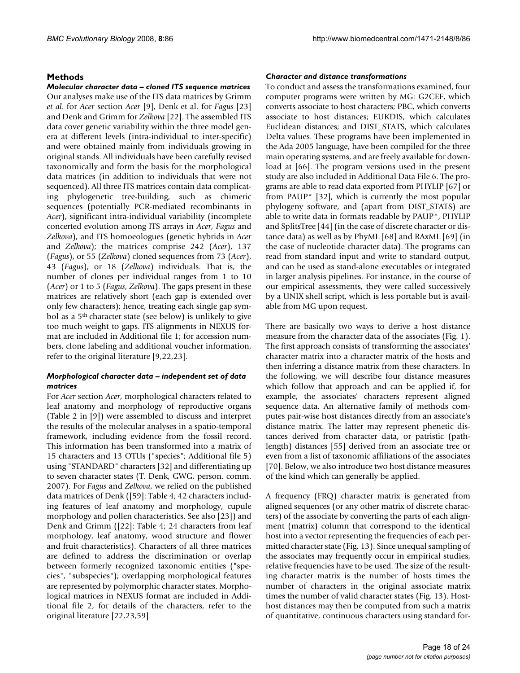# **Methods**

*Molecular character data – cloned ITS sequence matrices* Our analyses make use of the ITS data matrices by Grimm *et al*. for *Acer* section *Acer* [9], Denk et al. for *Fagus* [23] and Denk and Grimm for *Zelkova* [22]. The assembled ITS data cover genetic variability within the three model genera at different levels (intra-individual to inter-specific) and were obtained mainly from individuals growing in original stands. All individuals have been carefully revised taxonomically and form the basis for the morphological data matrices (in addition to individuals that were not sequenced). All three ITS matrices contain data complicating phylogenetic tree-building, such as chimeric sequences (potentially PCR-mediated recombinants in *Acer*), significant intra-individual variability (incomplete concerted evolution among ITS arrays in *Acer*, *Fagus* and *Zelkova*), and ITS homoeologues (genetic hybrids in *Acer* and *Zelkova*); the matrices comprise 242 (*Acer*), 137 (*Fagus*), or 55 (*Zelkova*) cloned sequences from 73 (*Acer*), 43 (*Fagus*), or 18 (*Zelkova*) individuals. That is, the number of clones per individual ranges from 1 to 10 (*Acer*) or 1 to 5 (*Fagus*, *Zelkova*). The gaps present in these matrices are relatively short (each gap is extended over only few characters); hence, treating each single gap symbol as a 5th character state (see below) is unlikely to give too much weight to gaps. ITS alignments in NEXUS format are included in Additional file 1; for accession numbers, clone labeling and additional voucher information, refer to the original literature [9,22,23].

# *Morphological character data – independent set of data matrices*

For *Acer* section *Acer*, morphological characters related to leaf anatomy and morphology of reproductive organs (Table 2 in [9]) were assembled to discuss and interpret the results of the molecular analyses in a spatio-temporal framework, including evidence from the fossil record. This information has been transformed into a matrix of 15 characters and 13 OTUs ("species"; Additional file 5) using "STANDARD" characters [32] and differentiating up to seven character states (T. Denk, GWG, person. comm. 2007). For *Fagus* and *Zelkova*, we relied on the published data matrices of Denk ([59]: Table 4; 42 characters including features of leaf anatomy and morphology, cupule morphology and pollen characteristics. See also [23]) and Denk and Grimm ([22]: Table 4; 24 characters from leaf morphology, leaf anatomy, wood structure and flower and fruit characteristics). Characters of all three matrices are defined to address the discrimination or overlap between formerly recognized taxonomic entities ("species", "subspecies"); overlapping morphological features are represented by polymorphic character states. Morphological matrices in NEXUS format are included in Additional file 2, for details of the characters, refer to the original literature [22,23,59].

### *Character and distance transformations*

To conduct and assess the transformations examined, four computer programs were written by MG: G2CEF, which converts associate to host characters; PBC, which converts associate to host distances; EUKDIS, which calculates Euclidean distances; and DIST\_STATS, which calculates Delta values. These programs have been implemented in the Ada 2005 language, have been compiled for the three main operating systems, and are freely available for download at [66]. The program versions used in the present study are also included in Additional Data File 6. The programs are able to read data exported from PHYLIP [67] or from PAUP\* [32], which is currently the most popular phylogeny software, and (apart from DIST\_STATS) are able to write data in formats readable by PAUP\*, PHYLIP and SplitsTree [44] (in the case of discrete character or distance data) as well as by PhyML [68] and RAxML [69] (in the case of nucleotide character data). The programs can read from standard input and write to standard output, and can be used as stand-alone executables or integrated in larger analysis pipelines. For instance, in the course of our empirical assessments, they were called successively by a UNIX shell script, which is less portable but is available from MG upon request.

There are basically two ways to derive a host distance measure from the character data of the associates (Fig. 1). The first approach consists of transforming the associates' character matrix into a character matrix of the hosts and then inferring a distance matrix from these characters. In the following, we will describe four distance measures which follow that approach and can be applied if, for example, the associates' characters represent aligned sequence data. An alternative family of methods computes pair-wise host distances directly from an associate's distance matrix. The latter may represent phenetic distances derived from character data, or patristic (pathlength) distances [55] derived from an associate tree or even from a list of taxonomic affiliations of the associates [70]. Below, we also introduce two host distance measures of the kind which can generally be applied.

A frequency (FRQ) character matrix is generated from aligned sequences (or any other matrix of discrete characters) of the associate by converting the parts of each alignment (matrix) column that correspond to the identical host into a vector representing the frequencies of each permitted character state (Fig. 13). Since unequal sampling of the associates may frequently occur in empirical studies, relative frequencies have to be used. The size of the resulting character matrix is the number of hosts times the number of characters in the original associate matrix times the number of valid character states (Fig. 13). Hosthost distances may then be computed from such a matrix of quantitative, continuous characters using standard for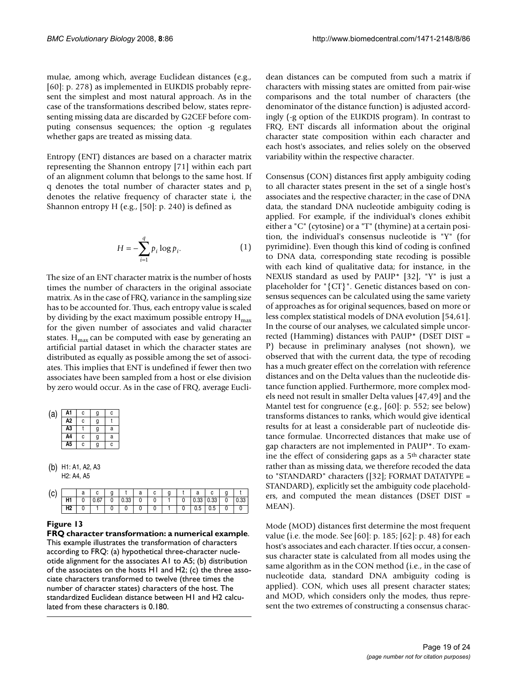mulae, among which, average Euclidean distances (e.g., [60]: p. 278) as implemented in EUKDIS probably represent the simplest and most natural approach. As in the case of the transformations described below, states representing missing data are discarded by G2CEF before computing consensus sequences; the option -g regulates whether gaps are treated as missing data.

Entropy (ENT) distances are based on a character matrix representing the Shannon entropy [71] within each part of an alignment column that belongs to the same host. If q denotes the total number of character states and  $p_i$ denotes the relative frequency of character state i, the Shannon entropy H (e.g., [50]: p. 240) is defined as

$$
H = -\sum_{i=1}^{q} p_i \log p_i.
$$
 (1)

The size of an ENT character matrix is the number of hosts times the number of characters in the original associate matrix. As in the case of FRQ, variance in the sampling size has to be accounted for. Thus, each entropy value is scaled by dividing by the exact maximum possible entropy  $H_{\text{max}}$ for the given number of associates and valid character states.  $H_{\text{max}}$  can be computed with ease by generating an artificial partial dataset in which the character states are distributed as equally as possible among the set of associates. This implies that ENT is undefined if fewer then two associates have been sampled from a host or else division by zero would occur. As in the case of FRQ, average Eucli-

| (a) | A1 | C | g | C |
|-----|----|---|---|---|
|     | Α2 | C | g |   |
|     | A3 |   | g | a |
|     | A4 | C | g | a |
|     | A5 | C |   | Ċ |

H1: A1, A2, A3 (b)H2: A4, A5

| $\left( 0\right)$ |                |    |      |          | C.           |  | a    |                   |  |
|-------------------|----------------|----|------|----------|--------------|--|------|-------------------|--|
|                   | Ш٩             | 67 | 0.33 | $\Omega$ | <sup>0</sup> |  | 0.33 | 0.33 I            |  |
|                   | H <sub>2</sub> |    |      |          |              |  | 0.5  | $0.5$   $\degree$ |  |

#### Figure 13

**FRQ character transformation: a numerical example**. This example illustrates the transformation of characters according to FRQ: (a) hypothetical three-character nucleotide alignment for the associates A1 to A5; (b) distribution of the associates on the hosts H1 and H2; (c) the three associate characters transformed to twelve (three times the number of character states) characters of the host. The standardized Euclidean distance between H1 and H2 calculated from these characters is 0.180.

dean distances can be computed from such a matrix if characters with missing states are omitted from pair-wise comparisons and the total number of characters (the denominator of the distance function) is adjusted accordingly (-g option of the EUKDIS program). In contrast to FRQ, ENT discards all information about the original character state composition within each character and each host's associates, and relies solely on the observed variability within the respective character.

Consensus (CON) distances first apply ambiguity coding to all character states present in the set of a single host's associates and the respective character; in the case of DNA data, the standard DNA nucleotide ambiguity coding is applied. For example, if the individual's clones exhibit either a "C" (cytosine) or a "T" (thymine) at a certain position, the individual's consensus nucleotide is "Y" (for pyrimidine). Even though this kind of coding is confined to DNA data, corresponding state recoding is possible with each kind of qualitative data; for instance, in the NEXUS standard as used by PAUP\* [32], "Y" is just a placeholder for "{CT}". Genetic distances based on consensus sequences can be calculated using the same variety of approaches as for original sequences, based on more or less complex statistical models of DNA evolution [54,61]. In the course of our analyses, we calculated simple uncorrected (Hamming) distances with PAUP\* (DSET DIST = P) because in preliminary analyses (not shown), we observed that with the current data, the type of recoding has a much greater effect on the correlation with reference distances and on the Delta values than the nucleotide distance function applied. Furthermore, more complex models need not result in smaller Delta values [47,49] and the Mantel test for congruence (e.g., [60]: p. 552; see below) transforms distances to ranks, which would give identical results for at least a considerable part of nucleotide distance formulae. Uncorrected distances that make use of gap characters are not implemented in PAUP\*. To examine the effect of considering gaps as a 5<sup>th</sup> character state rather than as missing data, we therefore recoded the data to "STANDARD" characters ([32]; FORMAT DATATYPE = STANDARD), explicitly set the ambiguity code placeholders, and computed the mean distances (DSET DIST = MEAN).

Mode (MOD) distances first determine the most frequent value (i.e. the mode. See [60]: p. 185; [62]: p. 48) for each host's associates and each character. If ties occur, a consensus character state is calculated from all modes using the same algorithm as in the CON method (i.e., in the case of nucleotide data, standard DNA ambiguity coding is applied). CON, which uses all present character states; and MOD, which considers only the modes, thus represent the two extremes of constructing a consensus charac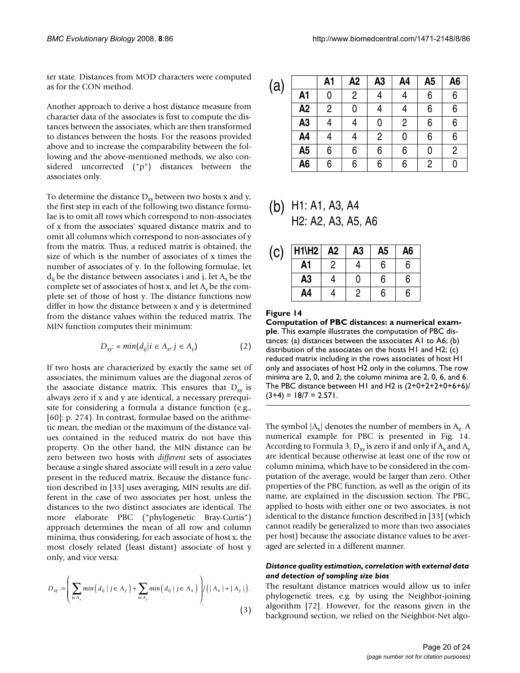ter state. Distances from MOD characters were computed as for the CON method.

Another approach to derive a host distance measure from character data of the associates is first to compute the distances between the associates, which are then transformed to distances between the hosts. For the reasons provided above and to increase the comparability between the following and the above-mentioned methods, we also considered uncorrected ("p") distances between the associates only.

To determine the distance  $D_{xy}$  between two hosts x and y, the first step in each of the following two distance formulae is to omit all rows which correspond to non-associates of x from the associates' squared distance matrix and to omit all columns which correspond to non-associates of y from the matrix. Thus, a reduced matrix is obtained, the size of which is the number of associates of x times the number of associates of y. In the following formulae, let  $d_{ii}$  be the distance between associates i and j, let  $A_x$  be the complete set of associates of host x, and let  $A<sub>v</sub>$  be the complete set of those of host y. The distance functions now differ in how the distance between x and y is determined from the distance values within the reduced matrix. The MIN function computes their minimum:

$$
D_{xy} = min(d_{ij} | i \in A_{x'} j \in A_y)
$$
 (2)

If two hosts are characterized by exactly the same set of associates, the minimum values are the diagonal zeros of the associate distance matrix. This ensures that  $D_{xy}$  is always zero if x and y are identical, a necessary prerequisite for considering a formula a distance function (e.g., [60]: p. 274). In contrast, formulae based on the arithmetic mean, the median or the maximum of the distance values contained in the reduced matrix do not have this property. On the other hand, the MIN distance can be zero between two hosts with *different* sets of associates because a single shared associate will result in a zero value present in the reduced matrix. Because the distance function described in [\[33](#page-22-0)] uses averaging, MIN results are different in the case of two associates per host, unless the distances to the two distinct associates are identical. The more elaborate PBC ("phylogenetic Bray-Curtis") approach determines the mean of all row and column minima, thus considering, for each associate of host x, the most closely related (least distant) associate of host y only, and vice versa:

$$
D_{xy} := \left(\sum_{i \in A_x} min\left(d_{ij} \mid j \in A_y\right) + \sum_{i \in A_y} min\left(d_{ij} \mid j \in A_x\right)\right) / \left(\left|A_x \mid + \left|A_y \right|\right)\right).
$$
\n(3)

|                | A1 | A <sub>2</sub> | A3 | A4             | A5 | A <sub>6</sub> |
|----------------|----|----------------|----|----------------|----|----------------|
| A1             | 0  | 2              |    |                | 6  | 6              |
| A2             | 2  | 0              |    |                | 6  | 6              |
| A3             |    | 4              | 0  | $\overline{2}$ | 6  | 6              |
| A4             |    | 4              | 2  | 0              | 6  | 6              |
| A <sub>5</sub> | 6  | 6              | 6  | 6              | 0  | 2              |
| A <sub>6</sub> | 6  | 6              | 6  | 6              | 2  | 0              |
|                |    |                |    |                |    |                |

# H1: A1, A3, A4 (b)H2: A2, A3, A5, A6

| (c) | H1/H2 | A2 | A3 | A5 | A6 |
|-----|-------|----|----|----|----|
|     | A1    | 2  |    | 6  | 6  |
|     | A3    |    |    | 6  | 6  |
|     | A4    |    | 2  | 6  | 6  |

#### **Figure 14**

**Computation of PBC distances: a numerical example**. This example illustrates the computation of PBC distances: (a) distances between the associates A1 to A6; (b) distribution of the associates on the hosts H1 and H2; (c) reduced matrix including in the rows associates of host H1 only and associates of host H2 only in the columns. The row minima are 2, 0, and 2; the column minima are 2, 0, 6, and 6. The PBC distance between H1 and H2 is (2+0+2+2+0+6+6)/  $(3+4) = 18/7 = 2.571$ .

The symbol  $|A_x|$  denotes the number of members in  $A_x$ . A numerical example for PBC is presented in Fig. 14. According to Formula 3,  $D_{xy}$  is zero if and only if  $A_x$  and  $A_y$ are identical because otherwise at least one of the row or column minima, which have to be considered in the computation of the average, would be larger than zero. Other properties of the PBC function, as well as the origin of its name, are explained in the discussion section. The PBC, applied to hosts with either one or two associates, is not identical to the distance function described in [\[33\]](#page-22-0) (which cannot readily be generalized to more than two associates per host) because the associate distance values to be averaged are selected in a different manner.

#### *Distance quality estimation, correlation with external data and detection of sampling size bias*

The resultant distance matrices would allow us to infer phylogenetic trees, e.g. by using the Neighbor-joining algorithm [72]. However, for the reasons given in the background section, we relied on the Neighbor-Net algo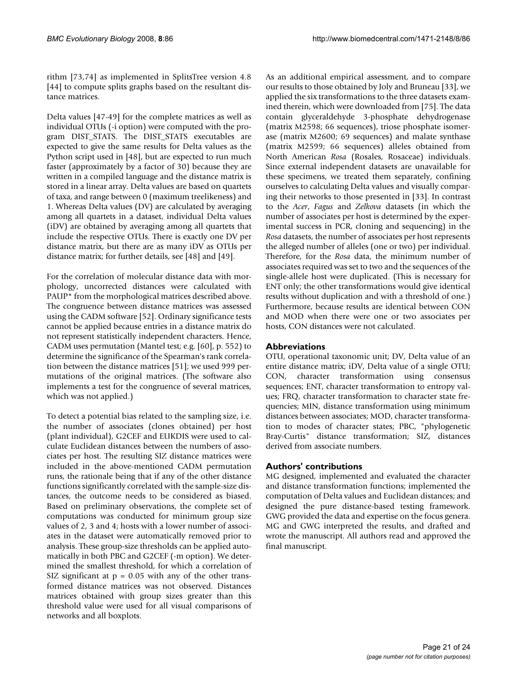rithm [73,74] as implemented in SplitsTree version 4.8 [44] to compute splits graphs based on the resultant distance matrices.

Delta values [47-49] for the complete matrices as well as individual OTUs (-i option) were computed with the program DIST\_STATS. The DIST\_STATS executables are expected to give the same results for Delta values as the Python script used in [48], but are expected to run much faster (approximately by a factor of 30) because they are written in a compiled language and the distance matrix is stored in a linear array. Delta values are based on quartets of taxa, and range between 0 (maximum treelikeness) and 1. Whereas Delta values (DV) are calculated by averaging among all quartets in a dataset, individual Delta values (iDV) are obtained by averaging among all quartets that include the respective OTUs. There is exactly one DV per distance matrix, but there are as many iDV as OTUs per distance matrix; for further details, see [48] and [49].

For the correlation of molecular distance data with morphology, uncorrected distances were calculated with PAUP\* from the morphological matrices described above. The congruence between distance matrices was assessed using the CADM software [52]. Ordinary significance tests cannot be applied because entries in a distance matrix do not represent statistically independent characters. Hence, CADM uses permutation (Mantel test; e.g. [60], p. 552) to determine the significance of the Spearman's rank correlation between the distance matrices [51]; we used 999 permutations of the original matrices. (The software also implements a test for the congruence of several matrices, which was not applied.)

To detect a potential bias related to the sampling size, i.e. the number of associates (clones obtained) per host (plant individual), G2CEF and EUKDIS were used to calculate Euclidean distances between the numbers of associates per host. The resulting SIZ distance matrices were included in the above-mentioned CADM permutation runs, the rationale being that if any of the other distance functions significantly correlated with the sample-size distances, the outcome needs to be considered as biased. Based on preliminary observations, the complete set of computations was conducted for minimum group size values of 2, 3 and 4; hosts with a lower number of associates in the dataset were automatically removed prior to analysis. These group-size thresholds can be applied automatically in both PBC and G2CEF (-m option). We determined the smallest threshold, for which a correlation of SIZ significant at  $p = 0.05$  with any of the other transformed distance matrices was not observed. Distances matrices obtained with group sizes greater than this threshold value were used for all visual comparisons of networks and all boxplots.

As an additional empirical assessment, and to compare our results to those obtained by Joly and Bruneau [\[33](#page-22-0)], we applied the six transformations to the three datasets examined therein, which were downloaded from [75]. The data contain glyceraldehyde 3-phosphate dehydrogenase (matrix M2598; 66 sequences), triose phosphate isomerase (matrix M2600; 69 sequences) and malate synthase (matrix M2599; 66 sequences) alleles obtained from North American *Rosa* (Rosales, Rosaceae) individuals. Since external independent datasets are unavailable for these specimens, we treated them separately, confining ourselves to calculating Delta values and visually comparing their networks to those presented in [[33\]](#page-22-0). In contrast to the *Acer*, *Fagus* and *Zelkova* datasets (in which the number of associates per host is determined by the experimental success in PCR, cloning and sequencing) in the *Rosa* datasets, the number of associates per host represents the alleged number of alleles (one or two) per individual. Therefore, for the *Rosa* data, the minimum number of associates required was set to two and the sequences of the single-allele host were duplicated. (This is necessary for ENT only; the other transformations would give identical results without duplication and with a threshold of one.) Furthermore, because results are identical between CON and MOD when there were one or two associates per hosts, CON distances were not calculated.

# **Abbreviations**

OTU, operational taxonomic unit; DV, Delta value of an entire distance matrix; iDV, Delta value of a single OTU; CON, character transformation using consensus sequences; ENT, character transformation to entropy values; FRQ, character transformation to character state frequencies; MIN, distance transformation using minimum distances between associates; MOD, character transformation to modes of character states; PBC, "phylogenetic Bray-Curtis" distance transformation; SIZ, distances derived from associate numbers.

# **Authors' contributions**

MG designed, implemented and evaluated the character and distance transformation functions; implemented the computation of Delta values and Euclidean distances; and designed the pure distance-based testing framework. GWG provided the data and expertise on the focus genera. MG and GWG interpreted the results, and drafted and wrote the manuscript. All authors read and approved the final manuscript.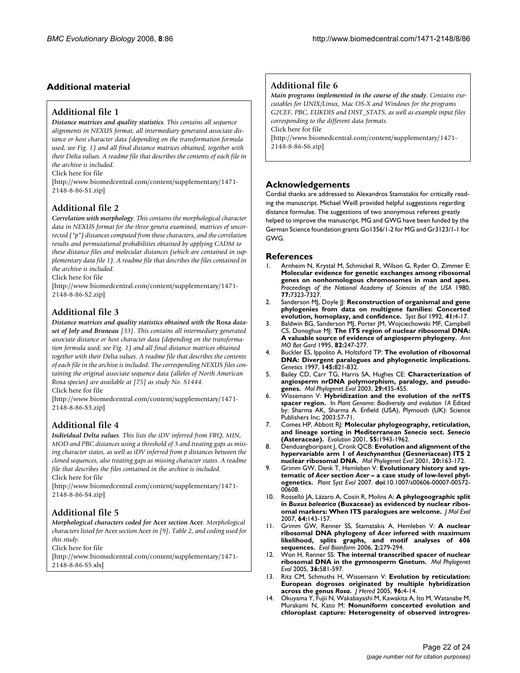# **Additional material**

### **Additional file 1**

*Distance matrices and quality statistics. This contains all sequence alignments in NEXUS format, all intermediary generated associate distance or host character data (depending on the transformation formula used; see Fig. 1) and all final distance matrices obtained, together with their Delta values. A readme file that describes the contents of each file in the archive is included.*

Click here for file

[\[http://www.biomedcentral.com/content/supplementary/1471-](http://www.biomedcentral.com/content/supplementary/1471-2148-8-86-S1.zip) 2148-8-86-S1.zip]

# **Additional file 2**

*Correlation with morphology. This contains the morphological character data in NEXUS format for the three genera examined, matrices of uncorrected ("p") distances computed from these characters, and the correlation results and permutational probabilities obtained by applying CADM to these distance files and molecular distances (which are contained in supplementary data file 1). A readme file that describes the files contained in the archive is included.*

Click here for file

[\[http://www.biomedcentral.com/content/supplementary/1471-](http://www.biomedcentral.com/content/supplementary/1471-2148-8-86-S2.zip) 2148-8-86-S2.zip]

# **Additional file 3**

*Distance matrices and quality statistics obtained with the* **Rosa** *dataset of Joly and Bruneau [\[33](#page-22-0)]. This contains all intermediary generated associate distance or host character data (depending on the transformation formula used; see Fig. 1) and all final distance matrices obtained together with their Delta values. A readme file that describes the contents of each file in the archive is included. The corresponding NEXUS files containing the original associate sequence data (alleles of North American*  Rosa *species) are available at [75] as study No. S1444.*

Click here for file

[\[http://www.biomedcentral.com/content/supplementary/1471-](http://www.biomedcentral.com/content/supplementary/1471-2148-8-86-S3.zip) 2148-8-86-S3.zip]

# **Additional file 4**

*Individual Delta values. This lists the iDV inferred from FRQ, MIN, MOD and PBC distances using a threshold of 3 and treating gaps as missing character states, as well as iDV inferred from p distances between the cloned sequences, also treating gaps as missing character states. A readme file that describes the files contained in the archive is included.* Click here for file

[\[http://www.biomedcentral.com/content/supplementary/1471-](http://www.biomedcentral.com/content/supplementary/1471-2148-8-86-S4.zip) 2148-8-86-S4.zip]

# **Additional file 5**

*Morphological characters coded for* **Acer** *section* **Acer***. Morphological characters listed for* Acer *section* Acer *in [9], Table 2, and coding used for this study.*

Click here for file

[\[http://www.biomedcentral.com/content/supplementary/1471-](http://www.biomedcentral.com/content/supplementary/1471-2148-8-86-S5.xls) 2148-8-86-S5.xls]

# **Additional file 6**

*Main programs implemented in the course of the study. Contains executables for UNIX/Linux, Mac OS-X and Windows for the programs G2CEF, PBC, EUKDIS and DIST\_STATS, as well as example input files corresponding to the different data formats.* Click here for file [\[http://www.biomedcentral.com/content/supplementary/1471-](http://www.biomedcentral.com/content/supplementary/1471-2148-8-86-S6.zip) 2148-8-86-S6.zip]

# **Acknowledgements**

Cordial thanks are addressed to Alexandros Stamatakis for critically reading the manuscript. Michael Weiß provided helpful suggestions regarding distance formulae. The suggestions of two anonymous referees greatly helped to improve the manuscript. MG and GWG have been funded by the German Science foundation grants Go1356/1-2 for MG and Gr3123/1-1 for GWG.

#### **References**

- Arnheim N, Krystal M, Schmickel R, Wilson G, Ryder O, Zimmer E: **[Molecular evidence for genetic exchanges among ribosomal](http://www.ncbi.nlm.nih.gov/entrez/query.fcgi?cmd=Retrieve&db=PubMed&dopt=Abstract&list_uids=6261251) genes on nonhomologous chromosomes in man and apes.** *Proceedings of the National Academy of Sciences of the USA* 1980, **77:**7323-7327.
- 2. Sanderson MJ, Doyle JJ: Reconstruction of organismal and gene **phylogenies from data on multigene families: Concerted evolution, homoplasy, and confidence.** *Syst Biol* 1992, **41:**4-17.
- 3. Baldwin BG, Sanderson MJ, Porter JM, Wojciechowski MF, Campbell CS, Donoghue MJ: **The ITS region of nuclear ribosomal DNA: A valuable source of evidence of angiosperm phylogeny.** *Ann MO Bot Gard* 1995, **82:**247-277.
- 4. Buckler ES, Ippolito A, Holtsford TP: **[The evolution of ribosomal](http://www.ncbi.nlm.nih.gov/entrez/query.fcgi?cmd=Retrieve&db=PubMed&dopt=Abstract&list_uids=9055091) [DNA: Divergent paralogues and phylogenetic implications.](http://www.ncbi.nlm.nih.gov/entrez/query.fcgi?cmd=Retrieve&db=PubMed&dopt=Abstract&list_uids=9055091)** *Genetics* 1997, **145:**821-832.
- 5. Bailey CD, Carr TG, Harris SA, Hughes CE: **[Characterization of](http://www.ncbi.nlm.nih.gov/entrez/query.fcgi?cmd=Retrieve&db=PubMed&dopt=Abstract&list_uids=14615185) [angiosperm nrDNA polymorphism, paralogy, and pseudo](http://www.ncbi.nlm.nih.gov/entrez/query.fcgi?cmd=Retrieve&db=PubMed&dopt=Abstract&list_uids=14615185)[genes.](http://www.ncbi.nlm.nih.gov/entrez/query.fcgi?cmd=Retrieve&db=PubMed&dopt=Abstract&list_uids=14615185)** *Mol Phylogenet Evol* 2003, **29:**435-455.
- 6. Wissemann V: **Hybridization and the evolution of the nrITS spacer region.** In *Plant Genome: Biodiversity and evolution 1A* Edited by: Sharma AK, Sharma A. Enfield (USA), Plymouth (UK): Science Publishers Inc; 2003:57-71.
- <span id="page-21-0"></span>7. Comes HP, Abbott RJ: **Molecular phylogeography, reticulation, and lineage sorting in Mediterranean** *Senecio* **sect.** *Senecio* **[\(Asteraceae\).](http://www.ncbi.nlm.nih.gov/entrez/query.fcgi?cmd=Retrieve&db=PubMed&dopt=Abstract&list_uids=11761056)** *Evolution* 2001, **55:**1943-1962.
- 8. Denduangboripant J, Cronk QCB: **Evolution and alignment of the hypervariable arm 1 of** *Aeschynanthus* **[\(Gesneriaceae\) ITS 2](http://www.ncbi.nlm.nih.gov/entrez/query.fcgi?cmd=Retrieve&db=PubMed&dopt=Abstract&list_uids=11476626) [nuclear ribosomal DNA.](http://www.ncbi.nlm.nih.gov/entrez/query.fcgi?cmd=Retrieve&db=PubMed&dopt=Abstract&list_uids=11476626)** *Mol Phylogenet Evol* 2001, **20:**163-172.
- 9. Grimm GW, Denk T, Hemleben V: **Evolutionary history and systematic of** *Acer* **section** *Acer* **– a case study of low-level phylogenetics.** *Plant Syst Evol* 2007. **doi**:10.1007/s00606-00007-00572- 00608.
- 10. Rosselló JA, Lázaro A, Cosín R, Molins A: **A phylogeographic split in** *Buxus balearica* **[\(Buxaceae\) as evidenced by nuclear ribos](http://www.ncbi.nlm.nih.gov/entrez/query.fcgi?cmd=Retrieve&db=PubMed&dopt=Abstract&list_uids=17211551)[omal markers: When ITS paralogues are welcome.](http://www.ncbi.nlm.nih.gov/entrez/query.fcgi?cmd=Retrieve&db=PubMed&dopt=Abstract&list_uids=17211551)** *J Mol Evol* 2007, **64:**143-157.
- 11. Grimm GW, Renner SS, Stamatakis A, Hemleben V: **A nuclear ribosomal DNA phylogeny of** *Acer* **inferred with maximum likelihood, splits graphs, and motif analyses of 606 sequences.** *Evol Bioinform* 2006, **2:**279-294.
- 12. Won H, Renner SS: **[The internal transcribed spacer of nuclear](http://www.ncbi.nlm.nih.gov/entrez/query.fcgi?cmd=Retrieve&db=PubMed&dopt=Abstract&list_uids=16099382) [ribosomal DNA in the gymnosperm Gnetum.](http://www.ncbi.nlm.nih.gov/entrez/query.fcgi?cmd=Retrieve&db=PubMed&dopt=Abstract&list_uids=16099382)** *Mol Phylogenet Evol* 2005, **36:**581-597.
- 13. Ritz CM, Schmuths H, Wissemann V: **Evolution by reticulation: European dogroses originated by multiple hybridization across the genus** *Rosa***[.](http://www.ncbi.nlm.nih.gov/entrez/query.fcgi?cmd=Retrieve&db=PubMed&dopt=Abstract&list_uids=15618309)** *J Hered* 2005, **96:**4-14.
- <span id="page-21-1"></span>14. Okuyama Y, Fujii N, Wakabayashi M, Kawakita A, Ito M, Watanabe M, Murakami N, Kato M: **Nonuniform concerted evolution and chloroplast capture: Heterogeneity of observed introgres-**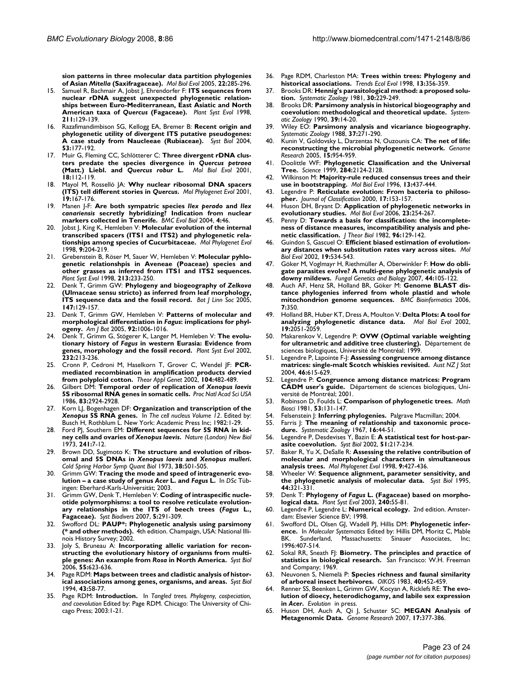**sion patterns in three molecular data partition phylogenies of Asian** *Mitella* **[\(Saxifragaceae\).](http://www.ncbi.nlm.nih.gov/entrez/query.fcgi?cmd=Retrieve&db=PubMed&dopt=Abstract&list_uids=15483320)** *Mol Biol Evol* 2005, **22:**285-296.

- 15. Samuel R, Bachmair A, Jobst J, Ehrendorfer F: **ITS sequences from nuclear rDNA suggest unexpected phylogenetic relationships between Euro-Mediterranean, East Asiatic and North American taxa of** *Quercus* **(Fagaceae).** *Plant Syst Evol* 1998, **211:**129-139.
- 16. Razafimandimbison SG, Kellogg EA, Bremer B: **[Recent origin and](http://www.ncbi.nlm.nih.gov/entrez/query.fcgi?cmd=Retrieve&db=PubMed&dopt=Abstract&list_uids=15205048) [phylogenetic utility of divergent ITS putative pseudogenes:](http://www.ncbi.nlm.nih.gov/entrez/query.fcgi?cmd=Retrieve&db=PubMed&dopt=Abstract&list_uids=15205048) [A case study from Naucleeae \(Rubiaceae\).](http://www.ncbi.nlm.nih.gov/entrez/query.fcgi?cmd=Retrieve&db=PubMed&dopt=Abstract&list_uids=15205048)** *Syst Biol* 2004, **53:**177-192.
- 17. Muir G, Fleming CC, Schlötterer C: **Three divergent rDNA clusters predate the species divergence in** *Quercus petraea* **(Matt.) Liebl. and** *Quercus robur* **[L.](http://www.ncbi.nlm.nih.gov/entrez/query.fcgi?cmd=Retrieve&db=PubMed&dopt=Abstract&list_uids=11158370)** *Mol Biol Evol* 2001, **18:**112-119.
- 18. Mayol M, Rosselló JA: **Why nuclear ribosomal DNA spacers (ITS) tell different stories in** *Quercus***[.](http://www.ncbi.nlm.nih.gov/entrez/query.fcgi?cmd=Retrieve&db=PubMed&dopt=Abstract&list_uids=11341800)** *Mol Phylogenet Evol* 2001, **19:**167-176.
- 19. Manen J-F: **Are both sympatric species** *Ilex perado* **and** *Ilex canariensis* **[secretly hybridizing? Indication from nuclear](http://www.ncbi.nlm.nih.gov/entrez/query.fcgi?cmd=Retrieve&db=PubMed&dopt=Abstract&list_uids=15550175) [markers collected in Tenerife.](http://www.ncbi.nlm.nih.gov/entrez/query.fcgi?cmd=Retrieve&db=PubMed&dopt=Abstract&list_uids=15550175)** *BMC Evol Biol* 2004, **4:**46.
- 20. Jobst J, King K, Hemleben V: **[Molecular evolution of the internal](http://www.ncbi.nlm.nih.gov/entrez/query.fcgi?cmd=Retrieve&db=PubMed&dopt=Abstract&list_uids=9562980) [transcribed spacers \(ITS1 and ITS2\) and phylogenetic rela](http://www.ncbi.nlm.nih.gov/entrez/query.fcgi?cmd=Retrieve&db=PubMed&dopt=Abstract&list_uids=9562980)[tionships among species of Cucurbitaceae.](http://www.ncbi.nlm.nih.gov/entrez/query.fcgi?cmd=Retrieve&db=PubMed&dopt=Abstract&list_uids=9562980)** *Mol Phylogenet Evol* 1998, **9:**204-219.
- 21. Grebenstein B, Röser M, Sauer W, Hemleben V: **Molecular pyhlogenetic relationshpis in Aveneae (Poaceae) species and other grasses as inferred from ITS1 and ITS2 sequences.** *Plant Syst Evol* 1998, **213:**233-250.
- 22. Denk T, Grimm GW: **Phylogeny and biogeography of** *Zelkova* **(Ulmaceae sensu stricto) as inferred from leaf morphology, ITS sequence data and the fossil record.** *Bot J Linn Soc* 2005, **147:**129-157.
- 23. Denk T, Grimm GW, Hemleben V: **Patterns of molecular and morphological differentiation in** *Fagus***: implications for phylogeny.** *Am J Bot* 2005, **92:**1006-1016.
- 24. Denk T, Grimm G, Stögerer K, Langer M, Hemleben V: **The evolutionary history of** *Fagus* **in western Eurasia: Evidence from genes, morphology and the fossil record.** *Plant Syst Evol* 2002, **232:**213-236.
- 25. Cronn P, Cedroni M, Haselkorn T, Grover C, Wendel JF: **[PCR](http://www.ncbi.nlm.nih.gov/entrez/query.fcgi?cmd=Retrieve&db=PubMed&dopt=Abstract&list_uids=12582722)[mediated recombination in amplification products dervied](http://www.ncbi.nlm.nih.gov/entrez/query.fcgi?cmd=Retrieve&db=PubMed&dopt=Abstract&list_uids=12582722) [from polyploid cotton.](http://www.ncbi.nlm.nih.gov/entrez/query.fcgi?cmd=Retrieve&db=PubMed&dopt=Abstract&list_uids=12582722)** *Theor Appl Genet* 2002, **104:**482-489.
- 26. Gilbert DM: **Temporal order of replication of** *Xenopus laevis* **[5S ribosomal RNA genes in somatic cells.](http://www.ncbi.nlm.nih.gov/entrez/query.fcgi?cmd=Retrieve&db=PubMed&dopt=Abstract&list_uids=3458252)** *Proc Natl Acad Sci USA* 1986, **83:**2924-2928.
- 27. Korn LJ, Bogenhagen DF: **Organization and transcription of the** *Xenopus* **5S RNA genes.** In *The cell nucleus Volume 12*. Edited by: Busch H, Rothblum L. New York: Academic Press Inc; 1982:1-29.
- 28. Ford PJ, Southern EM: **Different sequences for 5S RNA in kidney cells and ovaries of** *Xenopus laevis***.** *Nature (London) New Biol* 1973, **241:**7-12.
- 29. Brown DD, Sugimoto K: **The structure and evolution of ribosomal and 5S DNAs in** *Xenopus laevis* **and** *Xenopus mulleri***.** *Cold Spring Harbor Symp Quant Biol* 1973, **38:**501-505.
- 30. Grimm GW: **Tracing the mode and speed of intrageneric evolution – a case study of genus** *Acer* **L. and** *Fagus* **L.** In *DSc* Tübingen: Eberhard-Karls-Universität; 2003.
- 31. Grimm GW, Denk T, Hemleben V: **Coding of intraspecific nucleotide polymorphisms: a tool to resolve reticulate evolutionary relationships in the ITS of beech trees (***Fagus* **L., Fagaceae).** *Syst Biodivers* 2007, **5:**291-309.
- 32. Swofford DL: **[PAUP\\*: Phylogenetic analysis using parsimony](http://www.ncbi.nlm.nih.gov/entrez/query.fcgi?cmd=Retrieve&db=PubMed&dopt=Abstract&list_uids=12504223) [\(\\* and other methods\).](http://www.ncbi.nlm.nih.gov/entrez/query.fcgi?cmd=Retrieve&db=PubMed&dopt=Abstract&list_uids=12504223)** 4th edition. Champaign, USA: National Illinois History Survey; 2002.
- <span id="page-22-0"></span>33. Joly S, Bruneau A: **Incorporating allelic variation for reconstructing the evolutionary history of organisms from multiple genes: An example from** *Rosa* **[in North America.](http://www.ncbi.nlm.nih.gov/entrez/query.fcgi?cmd=Retrieve&db=PubMed&dopt=Abstract&list_uids=16969938)** *Syst Biol* 2006, **55:**623-636.
- 34. Page RDM: **Maps between trees and cladistic analysis of historical associations among genes, organisms, and areas.** *Syst Biol* 1994, **43:**58-77.
- 35. Page RDM: **Introduction.** In *Tangled trees. Phylogeny, cospeciation, and coevolution* Edited by: Page RDM. Chicago: The University of Chicago Press; 2003:1-21.
- 36. Page RDM, Charleston MA: **Trees within trees: Phylogeny and historical associations.** *Trends Ecol Evol* 1998, **13:**356-359.
- 37. Brooks DR: **Hennig's parasitological method: a proposed solution.** *Systematic Zoology* 1981, **30:**229-249.
- 38. Brooks DR: **Parsimony analysis in historical biogeography and coevolution: methodological and theoretical update.** *Systematic Zoology* 1990, **39:**14-20.
- 39. Wiley EO: **Parsimony analysis and vicariance biogeography.** *Systematic Zoology* 1988, **37:**271-290.
- 40. Kunin V, Goldovsky L, Darzentas N, Ouzounis CA: **[The net of life:](http://www.ncbi.nlm.nih.gov/entrez/query.fcgi?cmd=Retrieve&db=PubMed&dopt=Abstract&list_uids=15965028) [reconstructing the microbial phylogenetic network.](http://www.ncbi.nlm.nih.gov/entrez/query.fcgi?cmd=Retrieve&db=PubMed&dopt=Abstract&list_uids=15965028)** *Genome Research* 2005, **15:**954-959.
- 41. Doolittle WF: **[Phylogenetic Classification and the Universal](http://www.ncbi.nlm.nih.gov/entrez/query.fcgi?cmd=Retrieve&db=PubMed&dopt=Abstract&list_uids=10381871) [Tree.](http://www.ncbi.nlm.nih.gov/entrez/query.fcgi?cmd=Retrieve&db=PubMed&dopt=Abstract&list_uids=10381871)** *Science* 1999, **284:**2124-2128.
- 42. Wilkinson M: **[Majority-rule reduced consensus trees and their](http://www.ncbi.nlm.nih.gov/entrez/query.fcgi?cmd=Retrieve&db=PubMed&dopt=Abstract&list_uids=8742632) [use in bootstrapping.](http://www.ncbi.nlm.nih.gov/entrez/query.fcgi?cmd=Retrieve&db=PubMed&dopt=Abstract&list_uids=8742632)** *Mol Biol Evol* 1996, **13:**437-444.
- 43. Legendre P: **Reticulate evolution: From bacteria to philosopher.** *Journal of Classification* 2000, **17:**153-157.
- 44. Huson DH, Bryant D: **[Application of phylogenetic networks in](http://www.ncbi.nlm.nih.gov/entrez/query.fcgi?cmd=Retrieve&db=PubMed&dopt=Abstract&list_uids=16221896) [evolutionary studies.](http://www.ncbi.nlm.nih.gov/entrez/query.fcgi?cmd=Retrieve&db=PubMed&dopt=Abstract&list_uids=16221896)** *Mol Biol Evol* 2006, **23:**254-267.
- 45. Penny D: **[Towards a basis for classification: the incomplete](http://www.ncbi.nlm.nih.gov/entrez/query.fcgi?cmd=Retrieve&db=PubMed&dopt=Abstract&list_uids=7121024)[ness of distance measures, incompatibility analysis and phe](http://www.ncbi.nlm.nih.gov/entrez/query.fcgi?cmd=Retrieve&db=PubMed&dopt=Abstract&list_uids=7121024)[netic classification.](http://www.ncbi.nlm.nih.gov/entrez/query.fcgi?cmd=Retrieve&db=PubMed&dopt=Abstract&list_uids=7121024)** *J Theor Biol* 1982, **96:**129-142.
- 46. Guindon S, Gascuel O: **[Efficient biased estimation of evolution](http://www.ncbi.nlm.nih.gov/entrez/query.fcgi?cmd=Retrieve&db=PubMed&dopt=Abstract&list_uids=11919295)[ary distances when substitution rates vary across sites.](http://www.ncbi.nlm.nih.gov/entrez/query.fcgi?cmd=Retrieve&db=PubMed&dopt=Abstract&list_uids=11919295)** *Mol Biol Evol* 2002, **19:**534-543.
- 47. Göker M, Voglmayr H, Riethmüller A, Oberwinkler F: **How do obligate parasites evolve? A multi-gene phylogenetic analysis of downy mildews.** *Fungal Genetics and Biology* 2007, **44:**105-122.
- 48. Auch AF, Henz SR, Holland BR, Göker M: **[Genome BLAST dis](http://www.ncbi.nlm.nih.gov/entrez/query.fcgi?cmd=Retrieve&db=PubMed&dopt=Abstract&list_uids=16854218)[tance phylogenies inferred from whole plastid and whole](http://www.ncbi.nlm.nih.gov/entrez/query.fcgi?cmd=Retrieve&db=PubMed&dopt=Abstract&list_uids=16854218) [mitochondrion genome sequences.](http://www.ncbi.nlm.nih.gov/entrez/query.fcgi?cmd=Retrieve&db=PubMed&dopt=Abstract&list_uids=16854218)** *BMC Bioinformatics* 2006, **7:**350.
- 49. Holland BR, Huber KT, Dress A, Moulton V: **[Delta Plots: A tool for](http://www.ncbi.nlm.nih.gov/entrez/query.fcgi?cmd=Retrieve&db=PubMed&dopt=Abstract&list_uids=12446797) [analyzing phylogenetic distance data.](http://www.ncbi.nlm.nih.gov/entrez/query.fcgi?cmd=Retrieve&db=PubMed&dopt=Abstract&list_uids=12446797)** *Mol Biol Evol* 2002, **19:**2051-2059.
- 50. Makarenkov V, Legendre P: **OVW (Optimal variable weighting for ultrametric and additive tree clustering).** Département de sciences biologiques, Université de Montréal; 1999.
- 51. Legendre P, Lapointe F-J: **Assessing congruence among distance matrices: single-malt Scotch whiskies revisited.** *Aust NZ J Stat* 2004, **46:**615-629.
- 52. Legendre P: **Congruence among distance matrices: Program CADM user's guide.** Département de sciences biologiques, Université de Montréal; 2001.
- 53. Robinson D, Foulds L: **Comparison of phylogenetic trees.** *Math Biosci* 1981, **53:**131-147.
- 54. Felsenstein J: **Inferring phylogenies.** Palgrave Macmillan; 2004.
- 55. Farris J: **The meaning of relationship and taxonomic procedure.** *Systematic Zoology* 1967, **16:**44-51.
- 56. Legendre P, Desdevises Y, Bazin E: **[A statistical test for host-par](http://www.ncbi.nlm.nih.gov/entrez/query.fcgi?cmd=Retrieve&db=PubMed&dopt=Abstract&list_uids=12028729)[asite coevolution.](http://www.ncbi.nlm.nih.gov/entrez/query.fcgi?cmd=Retrieve&db=PubMed&dopt=Abstract&list_uids=12028729)** *Syst Biol* 2002, **51:**217-234.
- 57. Baker R, Yu X, DeSalle R: **[Assessing the relative contribution of](http://www.ncbi.nlm.nih.gov/entrez/query.fcgi?cmd=Retrieve&db=PubMed&dopt=Abstract&list_uids=9667991) [molecular and morphological characters in simultaneous](http://www.ncbi.nlm.nih.gov/entrez/query.fcgi?cmd=Retrieve&db=PubMed&dopt=Abstract&list_uids=9667991) [analysis trees.](http://www.ncbi.nlm.nih.gov/entrez/query.fcgi?cmd=Retrieve&db=PubMed&dopt=Abstract&list_uids=9667991)** *Mol Phylogenet Evol* 1998, **9:**427-436.
- 58. Wheeler W: **Sequence alignment, parameter sensitivity, and the phylogenetic analysis of molecular data.** *Syst Biol* 1995, **44:**321-331.
- 59. Denk T: **Phylogeny of** *Fagus* **L. (Fagaceae) based on morphological data.** *Plant Syst Evol* 2003, **240:**55-81.
- 60. Legendre P, Legendre L: **Numerical ecology.** 2nd edition. Amsterdam: Elsevier Science BV; 1998.
- 61. Swofford DL, Olsen GJ, Wadell PJ, Hillis DM: **Phylogenetic inference.** In *Molecular Systematics* Edited by: Hillis DM, Moritz C, Mable BK. Sunderland, Massachusetts: Sinauer Associates, Inc; 1996:407-514.
- 62. Sokal RR, Sneath FJ: **Biometry. The principles and practice of statistics in biological research.** San Francisco: W.H. Freeman and Company; 1969.
- 63. Neuvonen S, Niemelä P: **Species richness and faunal similarity of arboreal insect herbivores.** *OIKOS* 1983, **40:**452-459.
- Renner SS, Beenken L, Grimm GW, Kocyan A, Ricklefs RE: The evo**lution of dioecy, heterodichogamy, and labile sex expression in** *Acer***.** *Evolution* in press.
- 65. Huson DH, Auch A, Qi J, Schuster SC: **[MEGAN Analysis of](http://www.ncbi.nlm.nih.gov/entrez/query.fcgi?cmd=Retrieve&db=PubMed&dopt=Abstract&list_uids=17255551) [Metagenomic Data.](http://www.ncbi.nlm.nih.gov/entrez/query.fcgi?cmd=Retrieve&db=PubMed&dopt=Abstract&list_uids=17255551)** *Genome Research* 2007, **17:**377-386.